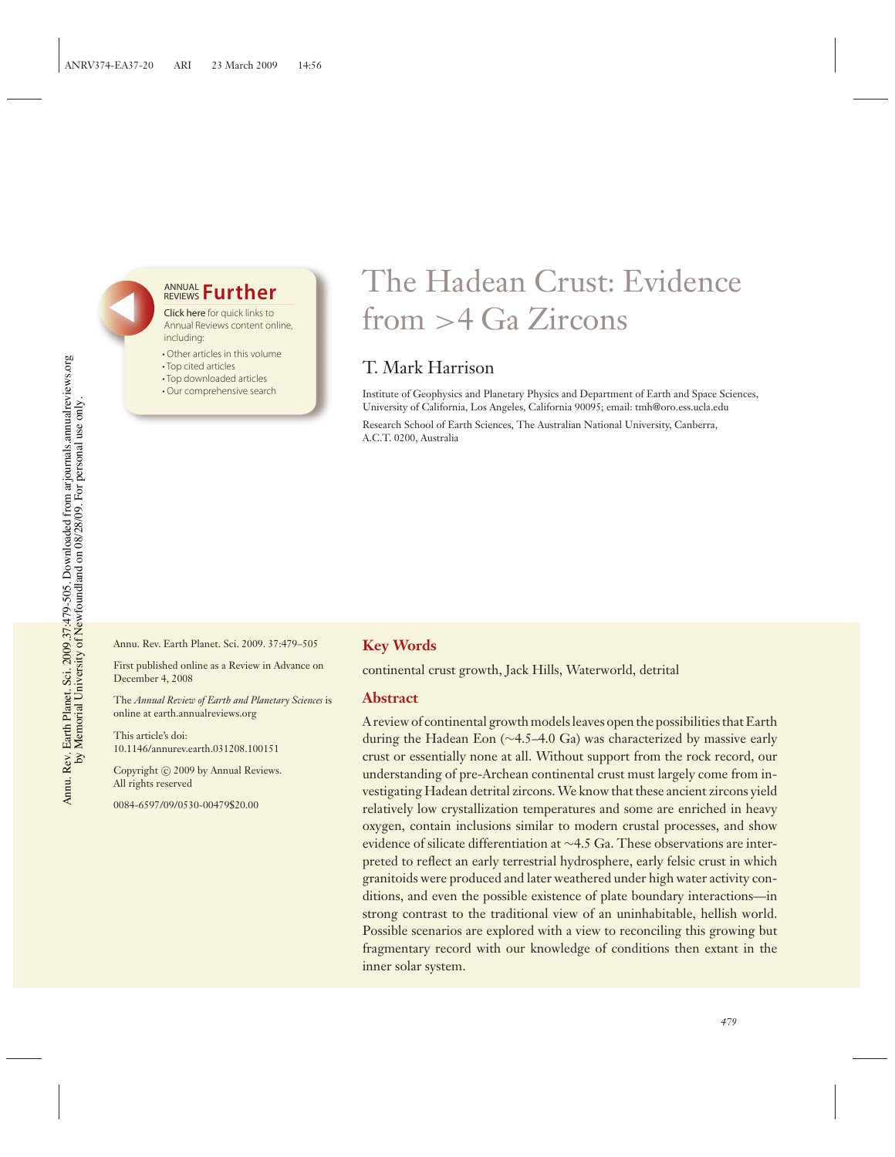## **<u>REVIEWS</u> Further**

Click here for quick links to Annual Reviews content online, including:

- Other articles in this volume
- Top cited articles
- Top downloaded articles
- Our comprehensive search

# The Hadean Crust: Evidence from >4 Ga Zircons

## T. Mark Harrison

Institute of Geophysics and Planetary Physics and Department of Earth and Space Sciences, University of California, Los Angeles, California 90095; email: tmh@oro.ess.ucla.edu

Research School of Earth Sciences, The Australian National University, Canberra, A.C.T. 0200, Australia

Annu. Rev. Earth Planet. Sci. 2009. 37:479–505

First published online as a Review in Advance on December 4, 2008

The *Annual Review of Earth and Planetary Sciences* is online at earth.annualreviews.org

This article's doi: 10.1146/annurev.earth.031208.100151

Copyright © 2009 by Annual Reviews. All rights reserved

0084-6597/09/0530-00479\$20.00

## **Key Words**

continental crust growth, Jack Hills, Waterworld, detrital

## **Abstract**

A review of continental growth models leaves open the possibilities that Earth during the Hadean Eon (∼4.5–4.0 Ga) was characterized by massive early crust or essentially none at all. Without support from the rock record, our understanding of pre-Archean continental crust must largely come from investigating Hadean detrital zircons.We know that these ancient zircons yield relatively low crystallization temperatures and some are enriched in heavy oxygen, contain inclusions similar to modern crustal processes, and show evidence of silicate differentiation at ∼4.5 Ga. These observations are interpreted to reflect an early terrestrial hydrosphere, early felsic crust in which granitoids were produced and later weathered under high water activity conditions, and even the possible existence of plate boundary interactions—in strong contrast to the traditional view of an uninhabitable, hellish world. Possible scenarios are explored with a view to reconciling this growing but fragmentary record with our knowledge of conditions then extant in the inner solar system.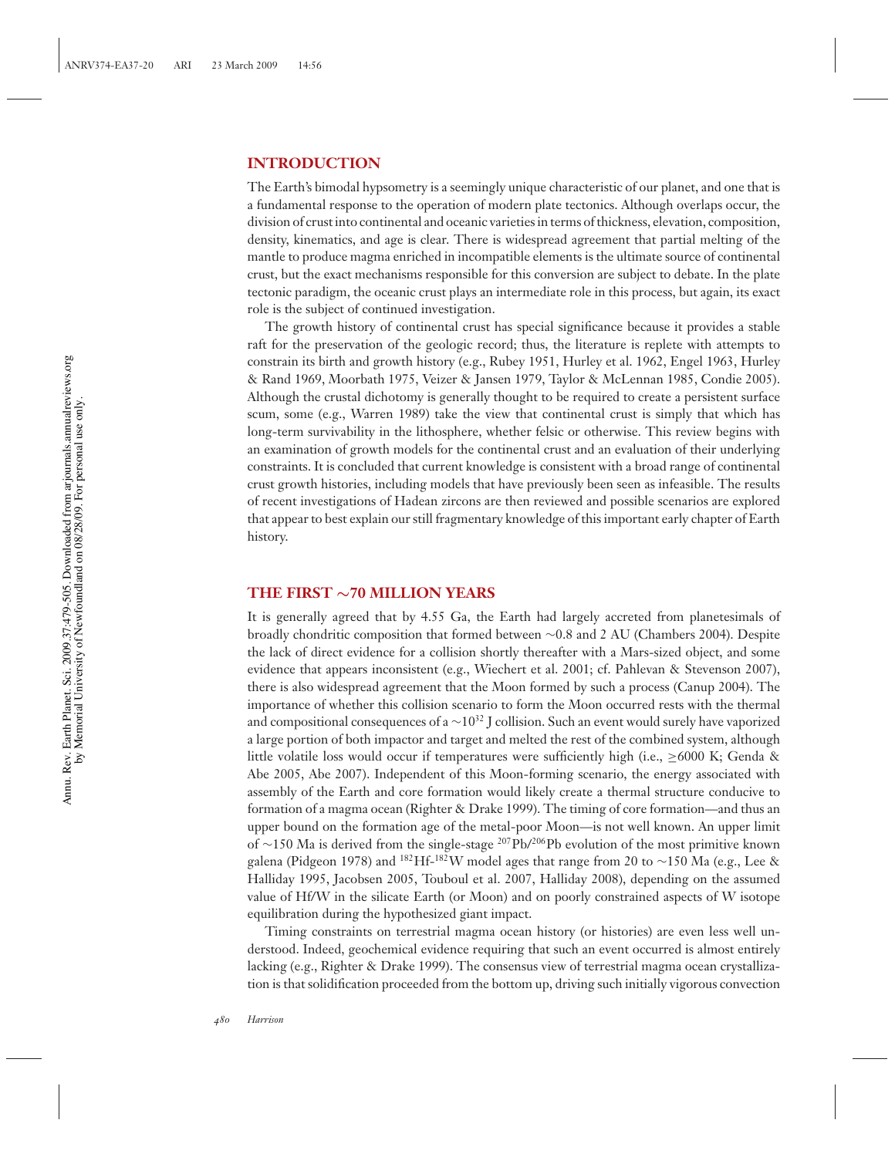## **INTRODUCTION**

The Earth's bimodal hypsometry is a seemingly unique characteristic of our planet, and one that is a fundamental response to the operation of modern plate tectonics. Although overlaps occur, the division of crust into continental and oceanic varieties in terms of thickness, elevation, composition, density, kinematics, and age is clear. There is widespread agreement that partial melting of the mantle to produce magma enriched in incompatible elements is the ultimate source of continental crust, but the exact mechanisms responsible for this conversion are subject to debate. In the plate tectonic paradigm, the oceanic crust plays an intermediate role in this process, but again, its exact role is the subject of continued investigation.

The growth history of continental crust has special significance because it provides a stable raft for the preservation of the geologic record; thus, the literature is replete with attempts to constrain its birth and growth history (e.g., Rubey 1951, Hurley et al. 1962, Engel 1963, Hurley & Rand 1969, Moorbath 1975, Veizer & Jansen 1979, Taylor & McLennan 1985, Condie 2005). Although the crustal dichotomy is generally thought to be required to create a persistent surface scum, some (e.g., Warren 1989) take the view that continental crust is simply that which has long-term survivability in the lithosphere, whether felsic or otherwise. This review begins with an examination of growth models for the continental crust and an evaluation of their underlying constraints. It is concluded that current knowledge is consistent with a broad range of continental crust growth histories, including models that have previously been seen as infeasible. The results of recent investigations of Hadean zircons are then reviewed and possible scenarios are explored that appear to best explain our still fragmentary knowledge of this important early chapter of Earth history.

## **THE FIRST** ∼**70 MILLION YEARS**

It is generally agreed that by 4.55 Ga, the Earth had largely accreted from planetesimals of broadly chondritic composition that formed between ∼0.8 and 2 AU (Chambers 2004). Despite the lack of direct evidence for a collision shortly thereafter with a Mars-sized object, and some evidence that appears inconsistent (e.g., Wiechert et al. 2001; cf. Pahlevan & Stevenson 2007), there is also widespread agreement that the Moon formed by such a process (Canup 2004). The importance of whether this collision scenario to form the Moon occurred rests with the thermal and compositional consequences of a  $\sim$ 10<sup>32</sup> J collision. Such an event would surely have vaporized a large portion of both impactor and target and melted the rest of the combined system, although little volatile loss would occur if temperatures were sufficiently high (i.e.,  $\geq 6000$  K; Genda & Abe 2005, Abe 2007). Independent of this Moon-forming scenario, the energy associated with assembly of the Earth and core formation would likely create a thermal structure conducive to formation of a magma ocean (Righter & Drake 1999). The timing of core formation—and thus an upper bound on the formation age of the metal-poor Moon—is not well known. An upper limit of ∼150 Ma is derived from the single-stage <sup>207</sup>Pb/<sup>206</sup>Pb evolution of the most primitive known galena (Pidgeon 1978) and <sup>182</sup>Hf-<sup>182</sup>W model ages that range from 20 to ∼150 Ma (e.g., Lee & Halliday 1995, Jacobsen 2005, Touboul et al. 2007, Halliday 2008), depending on the assumed value of Hf/W in the silicate Earth (or Moon) and on poorly constrained aspects of W isotope equilibration during the hypothesized giant impact.

Timing constraints on terrestrial magma ocean history (or histories) are even less well understood. Indeed, geochemical evidence requiring that such an event occurred is almost entirely lacking (e.g., Righter & Drake 1999). The consensus view of terrestrial magma ocean crystallization is that solidification proceeded from the bottom up, driving such initially vigorous convection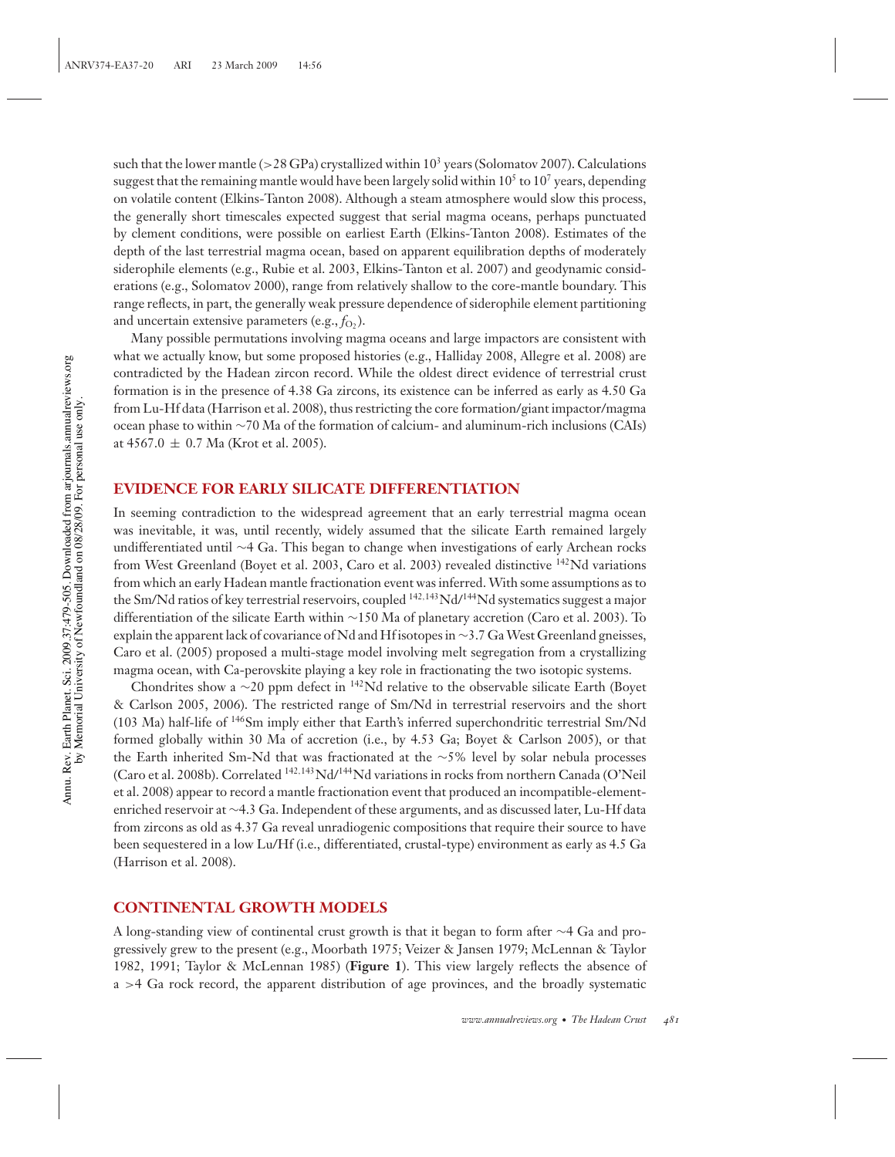such that the lower mantle ( $>28$  GPa) crystallized within  $10<sup>3</sup>$  years (Solomatov 2007). Calculations suggest that the remaining mantle would have been largely solid within  $10^5$  to  $10^7$  years, depending on volatile content (Elkins-Tanton 2008). Although a steam atmosphere would slow this process, the generally short timescales expected suggest that serial magma oceans, perhaps punctuated by clement conditions, were possible on earliest Earth (Elkins-Tanton 2008). Estimates of the depth of the last terrestrial magma ocean, based on apparent equilibration depths of moderately siderophile elements (e.g., Rubie et al. 2003, Elkins-Tanton et al. 2007) and geodynamic considerations (e.g., Solomatov 2000), range from relatively shallow to the core-mantle boundary. This range reflects, in part, the generally weak pressure dependence of siderophile element partitioning and uncertain extensive parameters  $(e.g., f<sub>O</sub>)$ .

Many possible permutations involving magma oceans and large impactors are consistent with what we actually know, but some proposed histories (e.g., Halliday 2008, Allegre et al. 2008) are contradicted by the Hadean zircon record. While the oldest direct evidence of terrestrial crust formation is in the presence of 4.38 Ga zircons, its existence can be inferred as early as 4.50 Ga from Lu-Hf data (Harrison et al. 2008), thus restricting the core formation/giant impactor/magma ocean phase to within ∼70 Ma of the formation of calcium- and aluminum-rich inclusions (CAIs) at 4567.0  $\pm$  0.7 Ma (Krot et al. 2005).

## **EVIDENCE FOR EARLY SILICATE DIFFERENTIATION**

In seeming contradiction to the widespread agreement that an early terrestrial magma ocean was inevitable, it was, until recently, widely assumed that the silicate Earth remained largely undifferentiated until ∼4 Ga. This began to change when investigations of early Archean rocks from West Greenland (Boyet et al. 2003, Caro et al. 2003) revealed distinctive 142Nd variations from which an early Hadean mantle fractionation event was inferred. With some assumptions as to the Sm/Nd ratios of key terrestrial reservoirs, coupled <sup>142,143</sup>Nd/<sup>144</sup>Nd systematics suggest a major differentiation of the silicate Earth within ∼150 Ma of planetary accretion (Caro et al. 2003). To explain the apparent lack of covariance of Nd and Hf isotopes in ∼3.7 GaWest Greenland gneisses, Caro et al. (2005) proposed a multi-stage model involving melt segregation from a crystallizing magma ocean, with Ca-perovskite playing a key role in fractionating the two isotopic systems.

Chondrites show a ∼20 ppm defect in <sup>142</sup>Nd relative to the observable silicate Earth (Boyet & Carlson 2005, 2006). The restricted range of Sm/Nd in terrestrial reservoirs and the short (103 Ma) half-life of 146Sm imply either that Earth's inferred superchondritic terrestrial Sm/Nd formed globally within 30 Ma of accretion (i.e., by 4.53 Ga; Boyet & Carlson 2005), or that the Earth inherited Sm-Nd that was fractionated at the ∼5% level by solar nebula processes (Caro et al. 2008b). Correlated <sup>142</sup>,143Nd/144Nd variations in rocks from northern Canada (O'Neil et al. 2008) appear to record a mantle fractionation event that produced an incompatible-elementenriched reservoir at ∼4.3 Ga. Independent of these arguments, and as discussed later, Lu-Hf data from zircons as old as 4.37 Ga reveal unradiogenic compositions that require their source to have been sequestered in a low Lu/Hf (i.e., differentiated, crustal-type) environment as early as 4.5 Ga (Harrison et al. 2008).

#### **CONTINENTAL GROWTH MODELS**

A long-standing view of continental crust growth is that it began to form after ∼4 Ga and progressively grew to the present (e.g., Moorbath 1975; Veizer & Jansen 1979; McLennan & Taylor 1982, 1991; Taylor & McLennan 1985) (**Figure 1**). This view largely reflects the absence of a >4 Ga rock record, the apparent distribution of age provinces, and the broadly systematic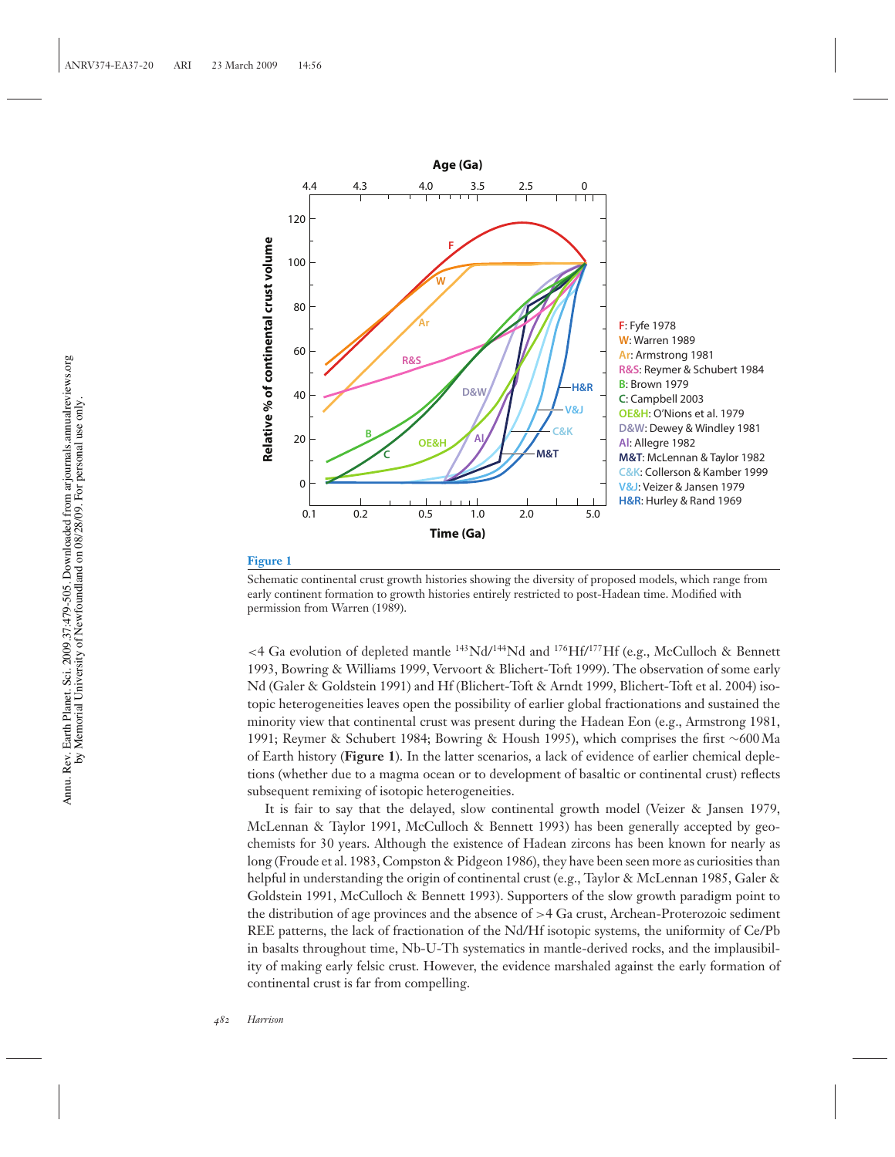

Schematic continental crust growth histories showing the diversity of proposed models, which range from early continent formation to growth histories entirely restricted to post-Hadean time. Modified with permission from Warren (1989).

 $\langle 4 \text{ Ga evolution of depleted mantle } ^{143}\text{Nd} / ^{144}\text{Nd}$  and  $\frac{176}{\text{Hf}} / ^{177}\text{Hf}$  (e.g., McCulloch & Bennett 1993, Bowring & Williams 1999, Vervoort & Blichert-Toft 1999). The observation of some early Nd (Galer & Goldstein 1991) and Hf (Blichert-Toft & Arndt 1999, Blichert-Toft et al. 2004) isotopic heterogeneities leaves open the possibility of earlier global fractionations and sustained the minority view that continental crust was present during the Hadean Eon (e.g., Armstrong 1981, 1991; Reymer & Schubert 1984; Bowring & Housh 1995), which comprises the first ∼600 Ma of Earth history (**Figure 1**). In the latter scenarios, a lack of evidence of earlier chemical depletions (whether due to a magma ocean or to development of basaltic or continental crust) reflects subsequent remixing of isotopic heterogeneities.

It is fair to say that the delayed, slow continental growth model (Veizer & Jansen 1979, McLennan & Taylor 1991, McCulloch & Bennett 1993) has been generally accepted by geochemists for 30 years. Although the existence of Hadean zircons has been known for nearly as long (Froude et al. 1983, Compston & Pidgeon 1986), they have been seen more as curiosities than helpful in understanding the origin of continental crust (e.g., Taylor & McLennan 1985, Galer & Goldstein 1991, McCulloch & Bennett 1993). Supporters of the slow growth paradigm point to the distribution of age provinces and the absence of >4 Ga crust, Archean-Proterozoic sediment REE patterns, the lack of fractionation of the Nd/Hf isotopic systems, the uniformity of Ce/Pb in basalts throughout time, Nb-U-Th systematics in mantle-derived rocks, and the implausibility of making early felsic crust. However, the evidence marshaled against the early formation of continental crust is far from compelling.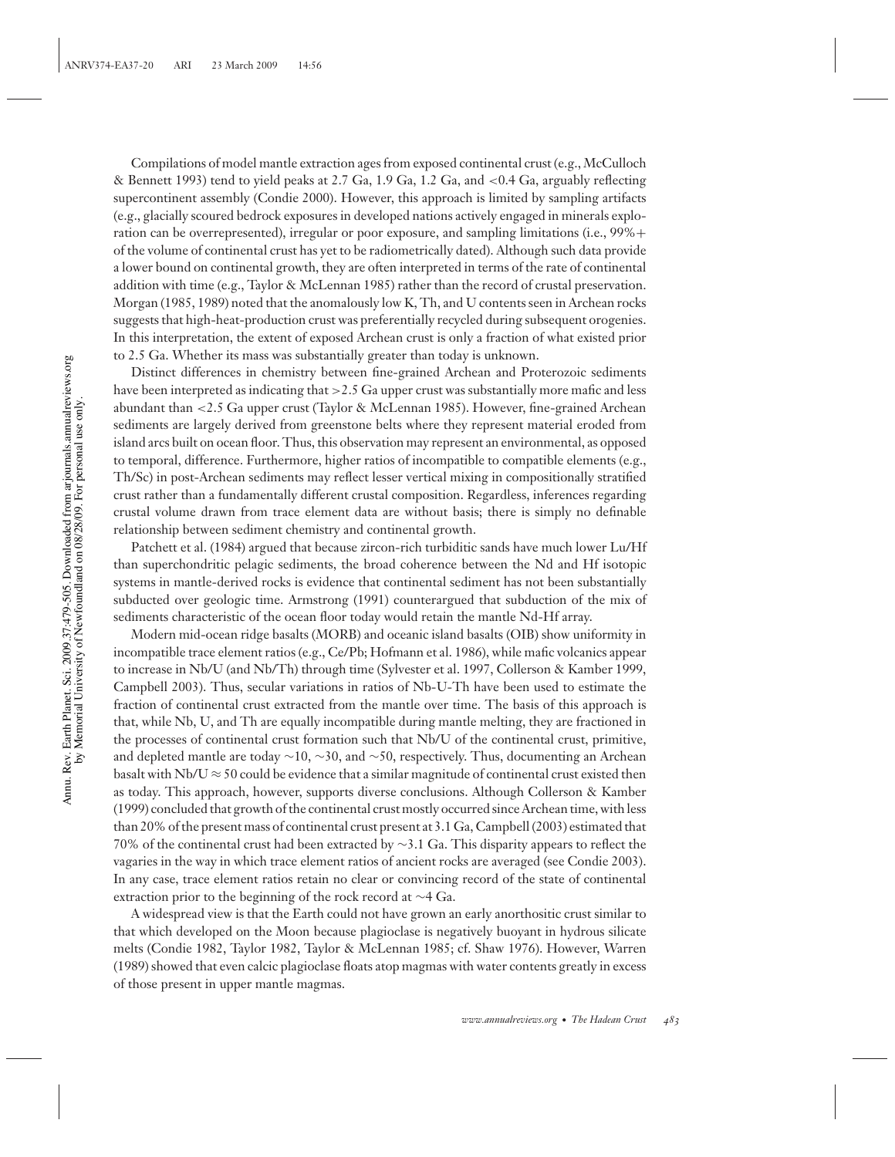Compilations of model mantle extraction ages from exposed continental crust (e.g., McCulloch & Bennett 1993) tend to yield peaks at 2.7 Ga, 1.9 Ga, 1.2 Ga, and <0.4 Ga, arguably reflecting supercontinent assembly (Condie 2000). However, this approach is limited by sampling artifacts (e.g., glacially scoured bedrock exposures in developed nations actively engaged in minerals exploration can be overrepresented), irregular or poor exposure, and sampling limitations (i.e., 99%+ of the volume of continental crust has yet to be radiometrically dated). Although such data provide a lower bound on continental growth, they are often interpreted in terms of the rate of continental addition with time (e.g., Taylor & McLennan 1985) rather than the record of crustal preservation. Morgan (1985, 1989) noted that the anomalously low K, Th, and U contents seen in Archean rocks suggests that high-heat-production crust was preferentially recycled during subsequent orogenies. In this interpretation, the extent of exposed Archean crust is only a fraction of what existed prior to 2.5 Ga. Whether its mass was substantially greater than today is unknown.

Distinct differences in chemistry between fine-grained Archean and Proterozoic sediments have been interpreted as indicating that >2.5 Ga upper crust was substantially more mafic and less abundant than <2.5 Ga upper crust (Taylor & McLennan 1985). However, fine-grained Archean sediments are largely derived from greenstone belts where they represent material eroded from island arcs built on ocean floor. Thus, this observation may represent an environmental, as opposed to temporal, difference. Furthermore, higher ratios of incompatible to compatible elements (e.g., Th/Sc) in post-Archean sediments may reflect lesser vertical mixing in compositionally stratified crust rather than a fundamentally different crustal composition. Regardless, inferences regarding crustal volume drawn from trace element data are without basis; there is simply no definable relationship between sediment chemistry and continental growth.

Patchett et al. (1984) argued that because zircon-rich turbiditic sands have much lower Lu/Hf than superchondritic pelagic sediments, the broad coherence between the Nd and Hf isotopic systems in mantle-derived rocks is evidence that continental sediment has not been substantially subducted over geologic time. Armstrong (1991) counterargued that subduction of the mix of sediments characteristic of the ocean floor today would retain the mantle Nd-Hf array.

Modern mid-ocean ridge basalts (MORB) and oceanic island basalts (OIB) show uniformity in incompatible trace element ratios (e.g., Ce/Pb; Hofmann et al. 1986), while mafic volcanics appear to increase in Nb/U (and Nb/Th) through time (Sylvester et al. 1997, Collerson & Kamber 1999, Campbell 2003). Thus, secular variations in ratios of Nb-U-Th have been used to estimate the fraction of continental crust extracted from the mantle over time. The basis of this approach is that, while Nb, U, and Th are equally incompatible during mantle melting, they are fractioned in the processes of continental crust formation such that Nb/U of the continental crust, primitive, and depleted mantle are today ∼10, ∼30, and ∼50, respectively. Thus, documenting an Archean basalt with Nb/U  $\approx$  50 could be evidence that a similar magnitude of continental crust existed then as today. This approach, however, supports diverse conclusions. Although Collerson & Kamber (1999) concluded that growth of the continental crust mostly occurred since Archean time, with less than 20% of the present mass of continental crust present at 3.1 Ga, Campbell (2003) estimated that 70% of the continental crust had been extracted by ∼3.1 Ga. This disparity appears to reflect the vagaries in the way in which trace element ratios of ancient rocks are averaged (see Condie 2003). In any case, trace element ratios retain no clear or convincing record of the state of continental extraction prior to the beginning of the rock record at ∼4 Ga.

A widespread view is that the Earth could not have grown an early anorthositic crust similar to that which developed on the Moon because plagioclase is negatively buoyant in hydrous silicate melts (Condie 1982, Taylor 1982, Taylor & McLennan 1985; cf. Shaw 1976). However, Warren (1989) showed that even calcic plagioclase floats atop magmas with water contents greatly in excess of those present in upper mantle magmas.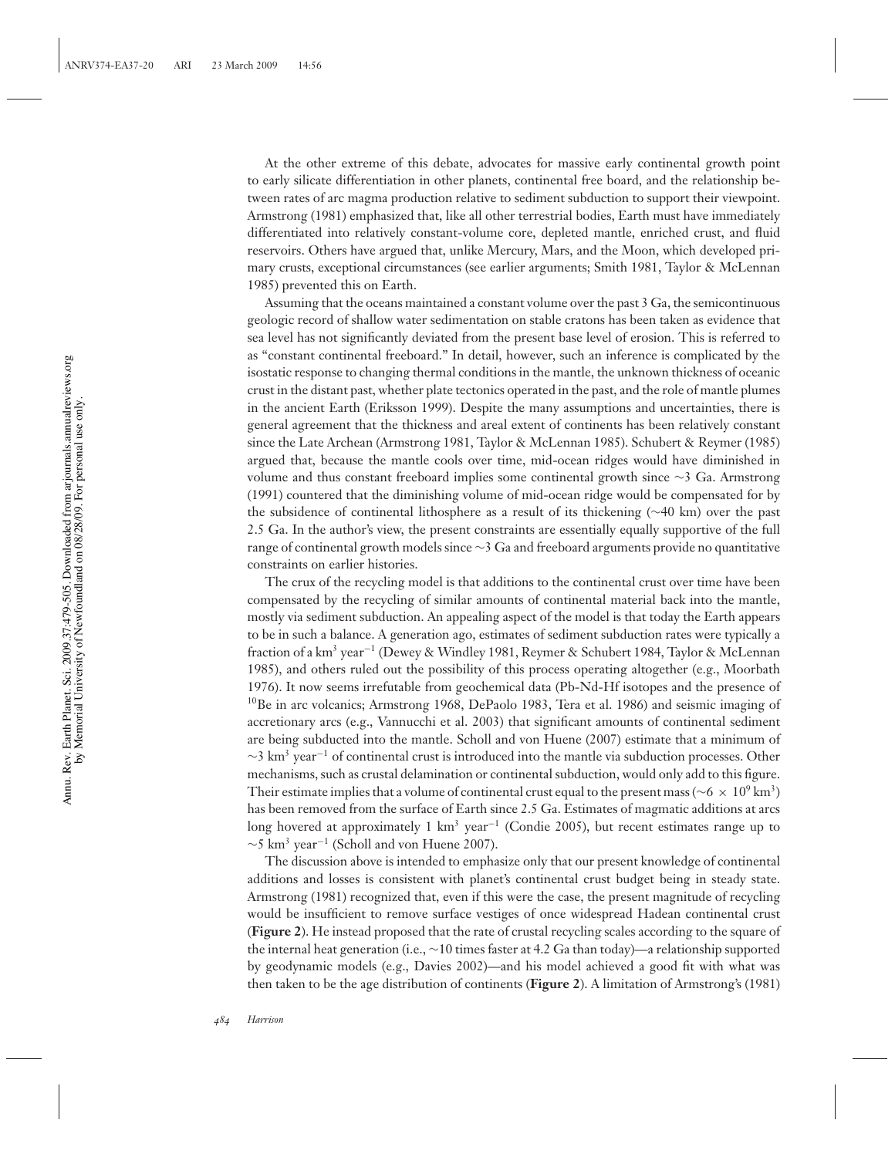At the other extreme of this debate, advocates for massive early continental growth point to early silicate differentiation in other planets, continental free board, and the relationship between rates of arc magma production relative to sediment subduction to support their viewpoint. Armstrong (1981) emphasized that, like all other terrestrial bodies, Earth must have immediately differentiated into relatively constant-volume core, depleted mantle, enriched crust, and fluid reservoirs. Others have argued that, unlike Mercury, Mars, and the Moon, which developed primary crusts, exceptional circumstances (see earlier arguments; Smith 1981, Taylor & McLennan 1985) prevented this on Earth.

Assuming that the oceans maintained a constant volume over the past 3 Ga, the semicontinuous geologic record of shallow water sedimentation on stable cratons has been taken as evidence that sea level has not significantly deviated from the present base level of erosion. This is referred to as "constant continental freeboard." In detail, however, such an inference is complicated by the isostatic response to changing thermal conditions in the mantle, the unknown thickness of oceanic crust in the distant past, whether plate tectonics operated in the past, and the role of mantle plumes in the ancient Earth (Eriksson 1999). Despite the many assumptions and uncertainties, there is general agreement that the thickness and areal extent of continents has been relatively constant since the Late Archean (Armstrong 1981, Taylor & McLennan 1985). Schubert & Reymer (1985) argued that, because the mantle cools over time, mid-ocean ridges would have diminished in volume and thus constant freeboard implies some continental growth since ∼3 Ga. Armstrong (1991) countered that the diminishing volume of mid-ocean ridge would be compensated for by the subsidence of continental lithosphere as a result of its thickening (∼40 km) over the past 2.5 Ga. In the author's view, the present constraints are essentially equally supportive of the full range of continental growth models since ∼3 Ga and freeboard arguments provide no quantitative constraints on earlier histories.

The crux of the recycling model is that additions to the continental crust over time have been compensated by the recycling of similar amounts of continental material back into the mantle, mostly via sediment subduction. An appealing aspect of the model is that today the Earth appears to be in such a balance. A generation ago, estimates of sediment subduction rates were typically a fraction of a km3 year−<sup>1</sup> (Dewey & Windley 1981, Reymer & Schubert 1984, Taylor & McLennan 1985), and others ruled out the possibility of this process operating altogether (e.g., Moorbath 1976). It now seems irrefutable from geochemical data (Pb-Nd-Hf isotopes and the presence of  $10\text{Be}$  in arc volcanics; Armstrong 1968, DePaolo 1983, Tera et al. 1986) and seismic imaging of accretionary arcs (e.g., Vannucchi et al. 2003) that significant amounts of continental sediment are being subducted into the mantle. Scholl and von Huene (2007) estimate that a minimum of  $\sim$ 3 km<sup>3</sup> year<sup>-1</sup> of continental crust is introduced into the mantle via subduction processes. Other mechanisms, such as crustal delamination or continental subduction, would only add to this figure. Their estimate implies that a volume of continental crust equal to the present mass ( $~6 \times 10^9 \text{ km}^3$ ) has been removed from the surface of Earth since 2.5 Ga. Estimates of magmatic additions at arcs long hovered at approximately 1 km<sup>3</sup> year<sup>-1</sup> (Condie 2005), but recent estimates range up to  $\sim$ 5 km<sup>3</sup> year<sup>-1</sup> (Scholl and von Huene 2007).

The discussion above is intended to emphasize only that our present knowledge of continental additions and losses is consistent with planet's continental crust budget being in steady state. Armstrong (1981) recognized that, even if this were the case, the present magnitude of recycling would be insufficient to remove surface vestiges of once widespread Hadean continental crust (**Figure 2**). He instead proposed that the rate of crustal recycling scales according to the square of the internal heat generation (i.e., ∼10 times faster at 4.2 Ga than today)—a relationship supported by geodynamic models (e.g., Davies 2002)—and his model achieved a good fit with what was then taken to be the age distribution of continents (**Figure 2**). A limitation of Armstrong's (1981)

Annu. Rev. Earth Planet. Sci. 2009.37:479-505. Downloaded from arjournals.annualreviews.org by Memorial University of Newfoundland on 08/28/09. For personal use only.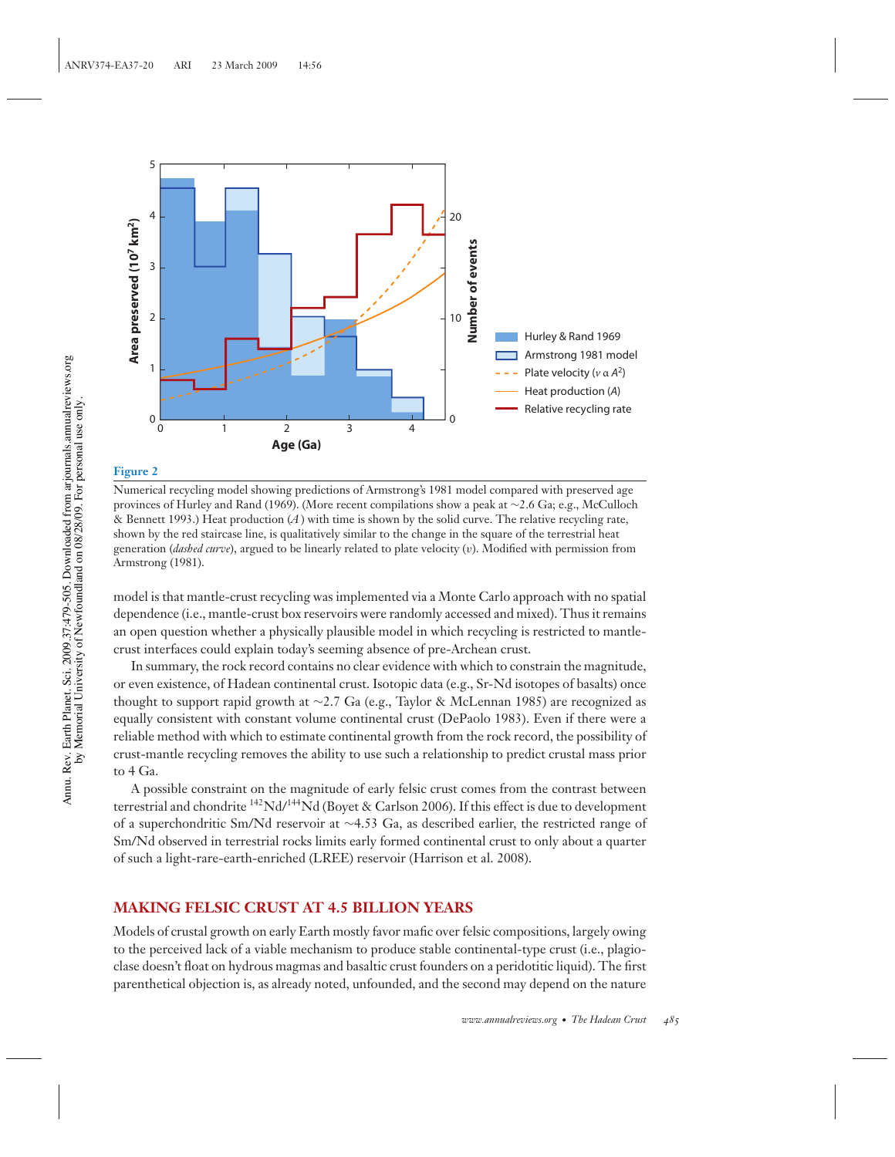

Numerical recycling model showing predictions of Armstrong's 1981 model compared with preserved age provinces of Hurley and Rand (1969). (More recent compilations show a peak at ∼2.6 Ga; e.g., McCulloch & Bennett 1993.) Heat production (*A*) with time is shown by the solid curve. The relative recycling rate, shown by the red staircase line, is qualitatively similar to the change in the square of the terrestrial heat generation (*dashed curve*), argued to be linearly related to plate velocity (v). Modified with permission from Armstrong (1981).

model is that mantle-crust recycling was implemented via a Monte Carlo approach with no spatial dependence (i.e., mantle-crust box reservoirs were randomly accessed and mixed). Thus it remains an open question whether a physically plausible model in which recycling is restricted to mantlecrust interfaces could explain today's seeming absence of pre-Archean crust.

In summary, the rock record contains no clear evidence with which to constrain the magnitude, or even existence, of Hadean continental crust. Isotopic data (e.g., Sr-Nd isotopes of basalts) once thought to support rapid growth at ∼2.7 Ga (e.g., Taylor & McLennan 1985) are recognized as equally consistent with constant volume continental crust (DePaolo 1983). Even if there were a reliable method with which to estimate continental growth from the rock record, the possibility of crust-mantle recycling removes the ability to use such a relationship to predict crustal mass prior to 4 Ga.

A possible constraint on the magnitude of early felsic crust comes from the contrast between terrestrial and chondrite <sup>142</sup>Nd/<sup>144</sup>Nd (Boyet & Carlson 2006). If this effect is due to development of a superchondritic Sm/Nd reservoir at ∼4.53 Ga, as described earlier, the restricted range of Sm/Nd observed in terrestrial rocks limits early formed continental crust to only about a quarter of such a light-rare-earth-enriched (LREE) reservoir (Harrison et al. 2008).

## **MAKING FELSIC CRUST AT 4.5 BILLION YEARS**

Models of crustal growth on early Earth mostly favor mafic over felsic compositions, largely owing to the perceived lack of a viable mechanism to produce stable continental-type crust (i.e., plagioclase doesn't float on hydrous magmas and basaltic crust founders on a peridotitic liquid). The first parenthetical objection is, as already noted, unfounded, and the second may depend on the nature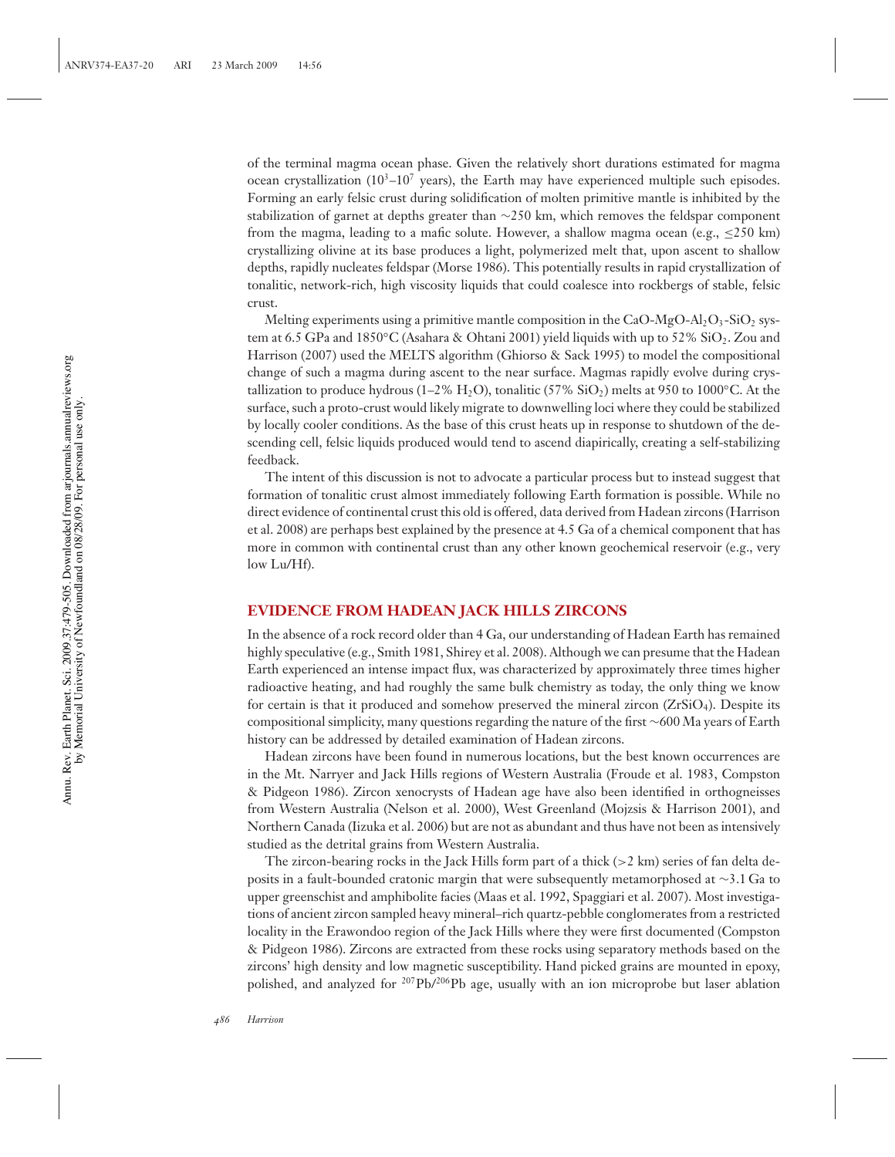of the terminal magma ocean phase. Given the relatively short durations estimated for magma ocean crystallization ( $10^3$ – $10^7$  years), the Earth may have experienced multiple such episodes. Forming an early felsic crust during solidification of molten primitive mantle is inhibited by the stabilization of garnet at depths greater than ∼250 km, which removes the feldspar component from the magma, leading to a mafic solute. However, a shallow magma ocean (e.g.,  $\leq$ 250 km) crystallizing olivine at its base produces a light, polymerized melt that, upon ascent to shallow depths, rapidly nucleates feldspar (Morse 1986). This potentially results in rapid crystallization of tonalitic, network-rich, high viscosity liquids that could coalesce into rockbergs of stable, felsic crust.

Melting experiments using a primitive mantle composition in the  $CaO-MgO-Al_2O_3-SiO_2$  system at 6.5 GPa and 1850°C (Asahara & Ohtani 2001) yield liquids with up to 52% SiO. Zou and Harrison (2007) used the MELTS algorithm (Ghiorso & Sack 1995) to model the compositional change of such a magma during ascent to the near surface. Magmas rapidly evolve during crystallization to produce hydrous (1–2% H<sub>2</sub>O), tonalitic (57% SiO<sub>2</sub>) melts at 950 to 1000°C. At the surface, such a proto-crust would likely migrate to downwelling loci where they could be stabilized by locally cooler conditions. As the base of this crust heats up in response to shutdown of the descending cell, felsic liquids produced would tend to ascend diapirically, creating a self-stabilizing feedback.

The intent of this discussion is not to advocate a particular process but to instead suggest that formation of tonalitic crust almost immediately following Earth formation is possible. While no direct evidence of continental crust this old is offered, data derived from Hadean zircons (Harrison et al. 2008) are perhaps best explained by the presence at 4.5 Ga of a chemical component that has more in common with continental crust than any other known geochemical reservoir (e.g., very low Lu/Hf).

## **EVIDENCE FROM HADEAN JACK HILLS ZIRCONS**

In the absence of a rock record older than 4 Ga, our understanding of Hadean Earth has remained highly speculative (e.g., Smith 1981, Shirey et al. 2008). Although we can presume that the Hadean Earth experienced an intense impact flux, was characterized by approximately three times higher radioactive heating, and had roughly the same bulk chemistry as today, the only thing we know for certain is that it produced and somehow preserved the mineral zircon  $(ZrSiO<sub>4</sub>)$ . Despite its compositional simplicity, many questions regarding the nature of the first ∼600 Ma years of Earth history can be addressed by detailed examination of Hadean zircons.

Hadean zircons have been found in numerous locations, but the best known occurrences are in the Mt. Narryer and Jack Hills regions of Western Australia (Froude et al. 1983, Compston & Pidgeon 1986). Zircon xenocrysts of Hadean age have also been identified in orthogneisses from Western Australia (Nelson et al. 2000), West Greenland (Mojzsis & Harrison 2001), and Northern Canada (Iizuka et al. 2006) but are not as abundant and thus have not been as intensively studied as the detrital grains from Western Australia.

The zircon-bearing rocks in the Jack Hills form part of a thick  $(>2 \text{ km})$  series of fan delta deposits in a fault-bounded cratonic margin that were subsequently metamorphosed at ∼3.1 Ga to upper greenschist and amphibolite facies (Maas et al. 1992, Spaggiari et al. 2007). Most investigations of ancient zircon sampled heavy mineral–rich quartz-pebble conglomerates from a restricted locality in the Erawondoo region of the Jack Hills where they were first documented (Compston & Pidgeon 1986). Zircons are extracted from these rocks using separatory methods based on the zircons' high density and low magnetic susceptibility. Hand picked grains are mounted in epoxy, polished, and analyzed for  $^{207}Pb/^{206}Pb$  age, usually with an ion microprobe but laser ablation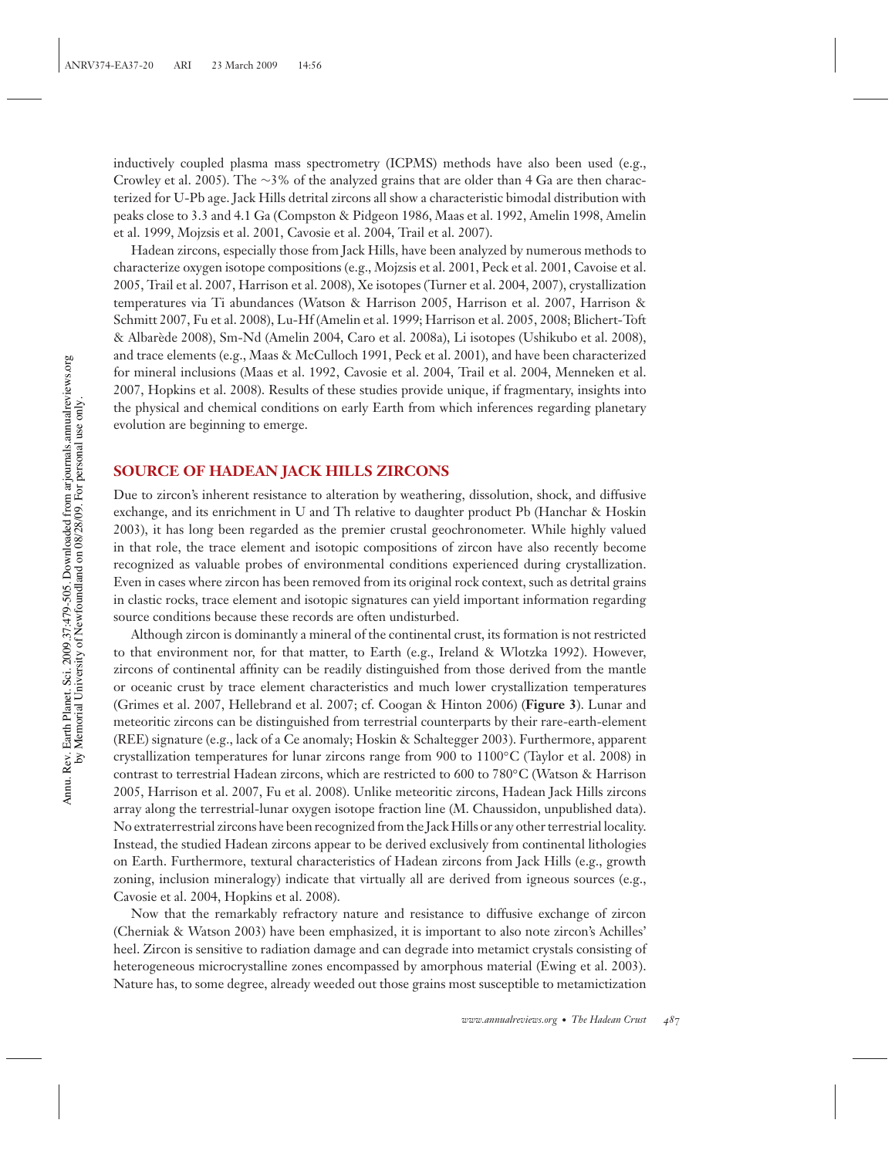inductively coupled plasma mass spectrometry (ICPMS) methods have also been used (e.g., Crowley et al. 2005). The ∼3% of the analyzed grains that are older than 4 Ga are then characterized for U-Pb age. Jack Hills detrital zircons all show a characteristic bimodal distribution with peaks close to 3.3 and 4.1 Ga (Compston & Pidgeon 1986, Maas et al. 1992, Amelin 1998, Amelin et al. 1999, Mojzsis et al. 2001, Cavosie et al. 2004, Trail et al. 2007).

Hadean zircons, especially those from Jack Hills, have been analyzed by numerous methods to characterize oxygen isotope compositions (e.g., Mojzsis et al. 2001, Peck et al. 2001, Cavoise et al. 2005, Trail et al. 2007, Harrison et al. 2008), Xe isotopes (Turner et al. 2004, 2007), crystallization temperatures via Ti abundances (Watson & Harrison 2005, Harrison et al. 2007, Harrison & Schmitt 2007, Fu et al. 2008), Lu-Hf (Amelin et al. 1999; Harrison et al. 2005, 2008; Blichert-Toft & Albarede 2008), Sm-Nd (Amelin 2004, Caro et al. 2008a), Li isotopes (Ushikubo et al. 2008), ` and trace elements (e.g., Maas & McCulloch 1991, Peck et al. 2001), and have been characterized for mineral inclusions (Maas et al. 1992, Cavosie et al. 2004, Trail et al. 2004, Menneken et al. 2007, Hopkins et al. 2008). Results of these studies provide unique, if fragmentary, insights into the physical and chemical conditions on early Earth from which inferences regarding planetary evolution are beginning to emerge.

## **SOURCE OF HADEAN JACK HILLS ZIRCONS**

Due to zircon's inherent resistance to alteration by weathering, dissolution, shock, and diffusive exchange, and its enrichment in U and Th relative to daughter product Pb (Hanchar & Hoskin 2003), it has long been regarded as the premier crustal geochronometer. While highly valued in that role, the trace element and isotopic compositions of zircon have also recently become recognized as valuable probes of environmental conditions experienced during crystallization. Even in cases where zircon has been removed from its original rock context, such as detrital grains in clastic rocks, trace element and isotopic signatures can yield important information regarding source conditions because these records are often undisturbed.

Although zircon is dominantly a mineral of the continental crust, its formation is not restricted to that environment nor, for that matter, to Earth (e.g., Ireland & Wlotzka 1992). However, zircons of continental affinity can be readily distinguished from those derived from the mantle or oceanic crust by trace element characteristics and much lower crystallization temperatures (Grimes et al. 2007, Hellebrand et al. 2007; cf. Coogan & Hinton 2006) (**Figure 3**). Lunar and meteoritic zircons can be distinguished from terrestrial counterparts by their rare-earth-element (REE) signature (e.g., lack of a Ce anomaly; Hoskin & Schaltegger 2003). Furthermore, apparent crystallization temperatures for lunar zircons range from 900 to 1100◦C (Taylor et al. 2008) in contrast to terrestrial Hadean zircons, which are restricted to 600 to 780◦C (Watson & Harrison 2005, Harrison et al. 2007, Fu et al. 2008). Unlike meteoritic zircons, Hadean Jack Hills zircons array along the terrestrial-lunar oxygen isotope fraction line (M. Chaussidon, unpublished data). No extraterrestrial zircons have been recognized from the Jack Hills or any other terrestrial locality. Instead, the studied Hadean zircons appear to be derived exclusively from continental lithologies on Earth. Furthermore, textural characteristics of Hadean zircons from Jack Hills (e.g., growth zoning, inclusion mineralogy) indicate that virtually all are derived from igneous sources (e.g., Cavosie et al. 2004, Hopkins et al. 2008).

Now that the remarkably refractory nature and resistance to diffusive exchange of zircon (Cherniak & Watson 2003) have been emphasized, it is important to also note zircon's Achilles' heel. Zircon is sensitive to radiation damage and can degrade into metamict crystals consisting of heterogeneous microcrystalline zones encompassed by amorphous material (Ewing et al. 2003). Nature has, to some degree, already weeded out those grains most susceptible to metamictization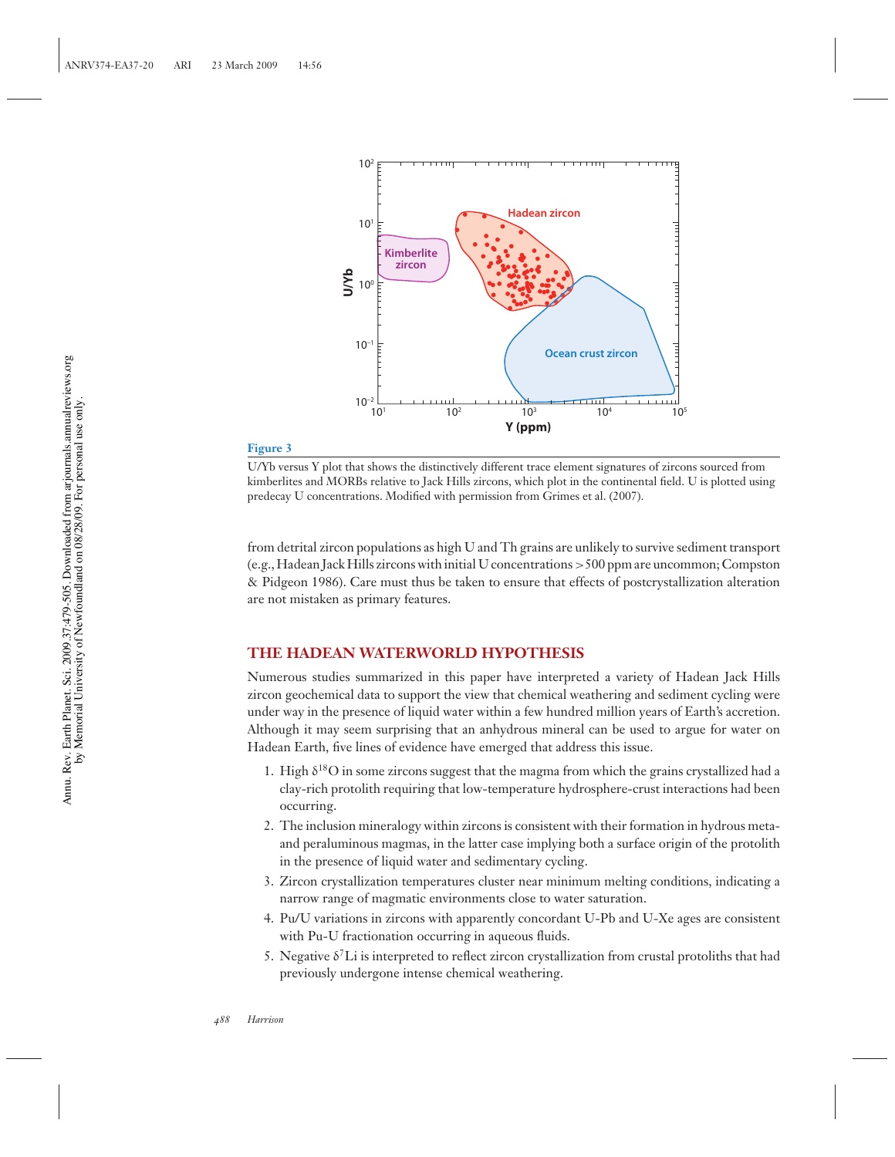

U/Yb versus Y plot that shows the distinctively different trace element signatures of zircons sourced from kimberlites and MORBs relative to Jack Hills zircons, which plot in the continental field. U is plotted using predecay U concentrations. Modified with permission from Grimes et al. (2007).

from detrital zircon populations as high U and Th grains are unlikely to survive sediment transport (e.g., Hadean Jack Hills zircons with initial U concentrations>500 ppm are uncommon; Compston & Pidgeon 1986). Care must thus be taken to ensure that effects of postcrystallization alteration are not mistaken as primary features.

## **THE HADEAN WATERWORLD HYPOTHESIS**

Numerous studies summarized in this paper have interpreted a variety of Hadean Jack Hills zircon geochemical data to support the view that chemical weathering and sediment cycling were under way in the presence of liquid water within a few hundred million years of Earth's accretion. Although it may seem surprising that an anhydrous mineral can be used to argue for water on Hadean Earth, five lines of evidence have emerged that address this issue.

- 1. High  $\delta^{18}$ O in some zircons suggest that the magma from which the grains crystallized had a clay-rich protolith requiring that low-temperature hydrosphere-crust interactions had been occurring.
- 2. The inclusion mineralogy within zircons is consistent with their formation in hydrous metaand peraluminous magmas, in the latter case implying both a surface origin of the protolith in the presence of liquid water and sedimentary cycling.
- 3. Zircon crystallization temperatures cluster near minimum melting conditions, indicating a narrow range of magmatic environments close to water saturation.
- 4. Pu/U variations in zircons with apparently concordant U-Pb and U-Xe ages are consistent with Pu-U fractionation occurring in aqueous fluids.
- 5. Negative  $\delta^7$ Li is interpreted to reflect zircon crystallization from crustal protoliths that had previously undergone intense chemical weathering.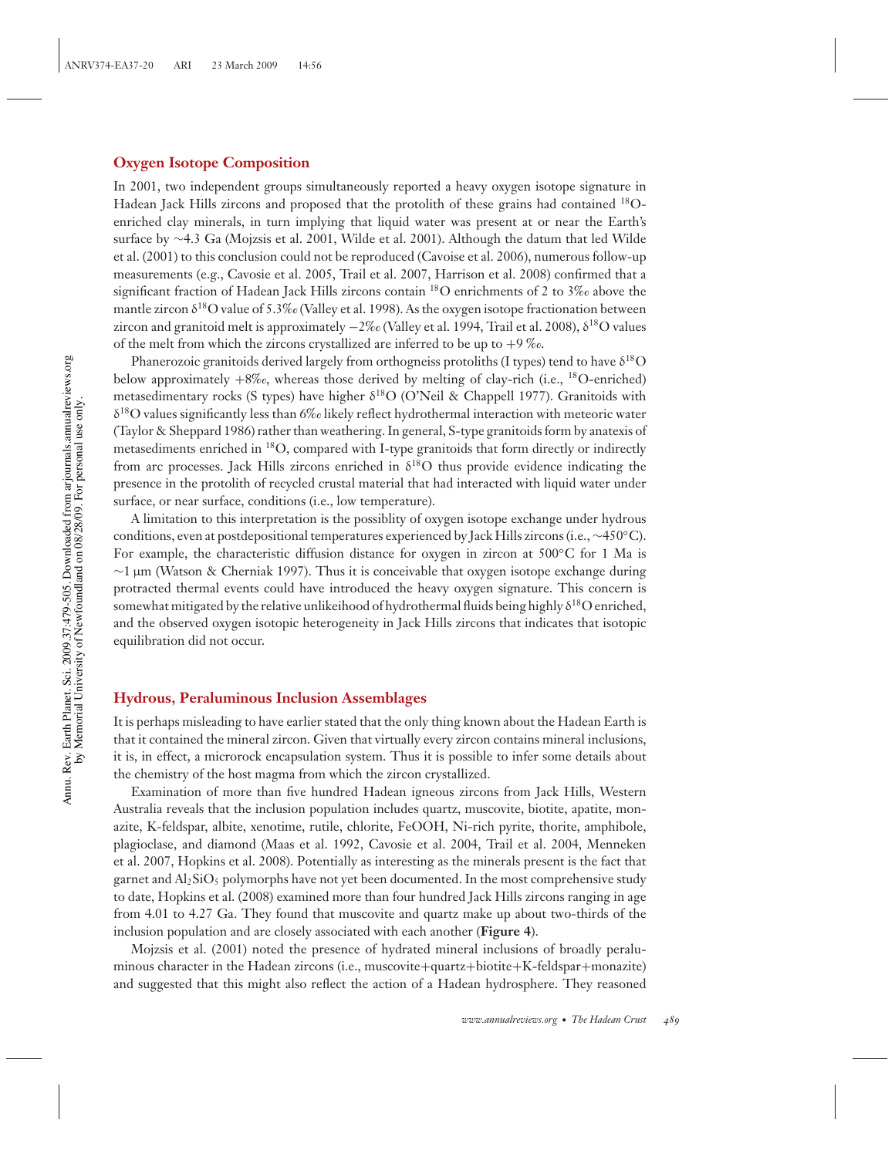## **Oxygen Isotope Composition**

In 2001, two independent groups simultaneously reported a heavy oxygen isotope signature in Hadean Jack Hills zircons and proposed that the protolith of these grains had contained 18Oenriched clay minerals, in turn implying that liquid water was present at or near the Earth's surface by ∼4.3 Ga (Mojzsis et al. 2001, Wilde et al. 2001). Although the datum that led Wilde et al. (2001) to this conclusion could not be reproduced (Cavoise et al. 2006), numerous follow-up measurements (e.g., Cavosie et al. 2005, Trail et al. 2007, Harrison et al. 2008) confirmed that a significant fraction of Hadean Jack Hills zircons contain 18O enrichments of 2 to 3‰ above the mantle zircon  $\delta^{18}$ O value of 5.3‰ (Valley et al. 1998). As the oxygen isotope fractionation between zircon and granitoid melt is approximately −2‰ (Valley et al. 1994, Trail et al. 2008),  $\delta^{18}O$  values of the melt from which the zircons crystallized are inferred to be up to  $+9\%$ .

Phanerozoic granitoids derived largely from orthogneiss protoliths (I types) tend to have  $\delta^{18}O$ below approximately  $+8\%c$ , whereas those derived by melting of clay-rich (i.e., <sup>18</sup>O-enriched) metasedimentary rocks (S types) have higher  $\delta^{18}O$  (O'Neil & Chappell 1977). Granitoids with δ18O values significantly less than 6‰ likely reflect hydrothermal interaction with meteoric water (Taylor & Sheppard 1986) rather than weathering. In general, S-type granitoids form by anatexis of metasediments enriched in 18O, compared with I-type granitoids that form directly or indirectly from arc processes. Jack Hills zircons enriched in  $\delta^{18}$ O thus provide evidence indicating the presence in the protolith of recycled crustal material that had interacted with liquid water under surface, or near surface, conditions (i.e., low temperature).

A limitation to this interpretation is the possiblity of oxygen isotope exchange under hydrous conditions, even at postdepositional temperatures experienced by Jack Hills zircons (i.e., ∼450◦C). For example, the characteristic diffusion distance for oxygen in zircon at 500◦C for 1 Ma is ∼1 µm (Watson & Cherniak 1997). Thus it is conceivable that oxygen isotope exchange during protracted thermal events could have introduced the heavy oxygen signature. This concern is somewhat mitigated by the relative unlikeihood of hydrothermal fluids being highly  $\delta^{18}$ O enriched, and the observed oxygen isotopic heterogeneity in Jack Hills zircons that indicates that isotopic equilibration did not occur.

## **Hydrous, Peraluminous Inclusion Assemblages**

It is perhaps misleading to have earlier stated that the only thing known about the Hadean Earth is that it contained the mineral zircon. Given that virtually every zircon contains mineral inclusions, it is, in effect, a microrock encapsulation system. Thus it is possible to infer some details about the chemistry of the host magma from which the zircon crystallized.

Examination of more than five hundred Hadean igneous zircons from Jack Hills, Western Australia reveals that the inclusion population includes quartz, muscovite, biotite, apatite, monazite, K-feldspar, albite, xenotime, rutile, chlorite, FeOOH, Ni-rich pyrite, thorite, amphibole, plagioclase, and diamond (Maas et al. 1992, Cavosie et al. 2004, Trail et al. 2004, Menneken et al. 2007, Hopkins et al. 2008). Potentially as interesting as the minerals present is the fact that garnet and Al<sub>2</sub>SiO<sub>5</sub> polymorphs have not yet been documented. In the most comprehensive study to date, Hopkins et al. (2008) examined more than four hundred Jack Hills zircons ranging in age from 4.01 to 4.27 Ga. They found that muscovite and quartz make up about two-thirds of the inclusion population and are closely associated with each another (**Figure 4**).

Mojzsis et al. (2001) noted the presence of hydrated mineral inclusions of broadly peraluminous character in the Hadean zircons (i.e., muscovite+quartz+biotite+K-feldspar+monazite) and suggested that this might also reflect the action of a Hadean hydrosphere. They reasoned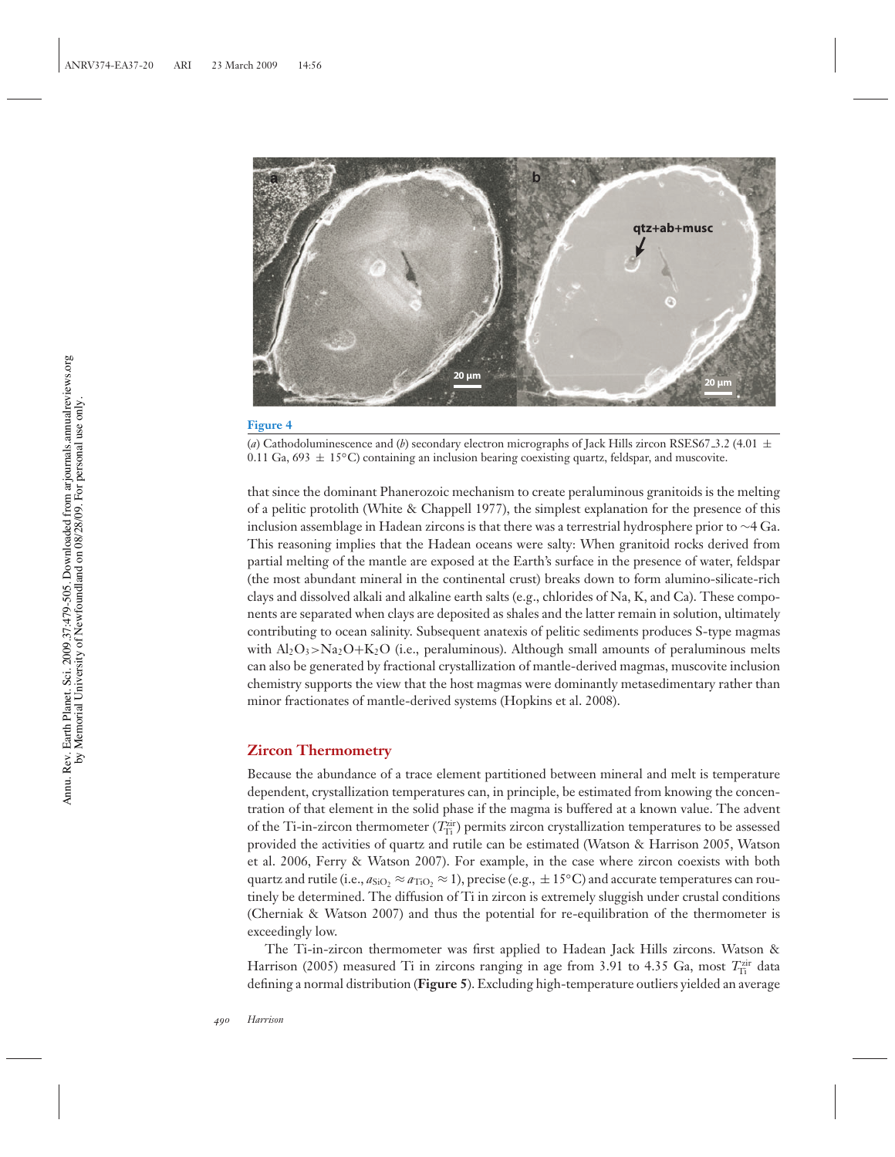

(*a*) Cathodoluminescence and (*b*) secondary electron micrographs of Jack Hills zircon RSES67-3.2 (4.01  $\pm$ 0.11 Ga, 693  $\pm$  15°C) containing an inclusion bearing coexisting quartz, feldspar, and muscovite.

that since the dominant Phanerozoic mechanism to create peraluminous granitoids is the melting of a pelitic protolith (White & Chappell 1977), the simplest explanation for the presence of this inclusion assemblage in Hadean zircons is that there was a terrestrial hydrosphere prior to  $\sim$ 4 Ga. This reasoning implies that the Hadean oceans were salty: When granitoid rocks derived from partial melting of the mantle are exposed at the Earth's surface in the presence of water, feldspar (the most abundant mineral in the continental crust) breaks down to form alumino-silicate-rich clays and dissolved alkali and alkaline earth salts (e.g., chlorides of Na, K, and Ca). These components are separated when clays are deposited as shales and the latter remain in solution, ultimately contributing to ocean salinity. Subsequent anatexis of pelitic sediments produces S-type magmas with  $Al_2O_3 > Na_2O+K_2O$  (i.e., peraluminous). Although small amounts of peraluminous melts can also be generated by fractional crystallization of mantle-derived magmas, muscovite inclusion chemistry supports the view that the host magmas were dominantly metasedimentary rather than minor fractionates of mantle-derived systems (Hopkins et al. 2008).

#### **Zircon Thermometry**

Because the abundance of a trace element partitioned between mineral and melt is temperature dependent, crystallization temperatures can, in principle, be estimated from knowing the concentration of that element in the solid phase if the magma is buffered at a known value. The advent of the Ti-in-zircon thermometer ( $T_{\text{Ti}}^{\text{zir}}$ ) permits zircon crystallization temperatures to be assessed provided the activities of quartz and rutile can be estimated (Watson & Harrison 2005, Watson et al. 2006, Ferry & Watson 2007). For example, in the case where zircon coexists with both quartz and rutile (i.e.,  $a_{SiO_2} \approx a_{TiO_2} \approx 1$ ), precise (e.g.,  $\pm 15$ °C) and accurate temperatures can routinely be determined. The diffusion of Ti in zircon is extremely sluggish under crustal conditions (Cherniak & Watson 2007) and thus the potential for re-equilibration of the thermometer is exceedingly low.

The Ti-in-zircon thermometer was first applied to Hadean Jack Hills zircons. Watson & Harrison (2005) measured Ti in zircons ranging in age from 3.91 to 4.35 Ga, most  $T_{\text{Ti}}^{\text{zir}}$  data defining a normal distribution (**Figure 5**). Excluding high-temperature outliers yielded an average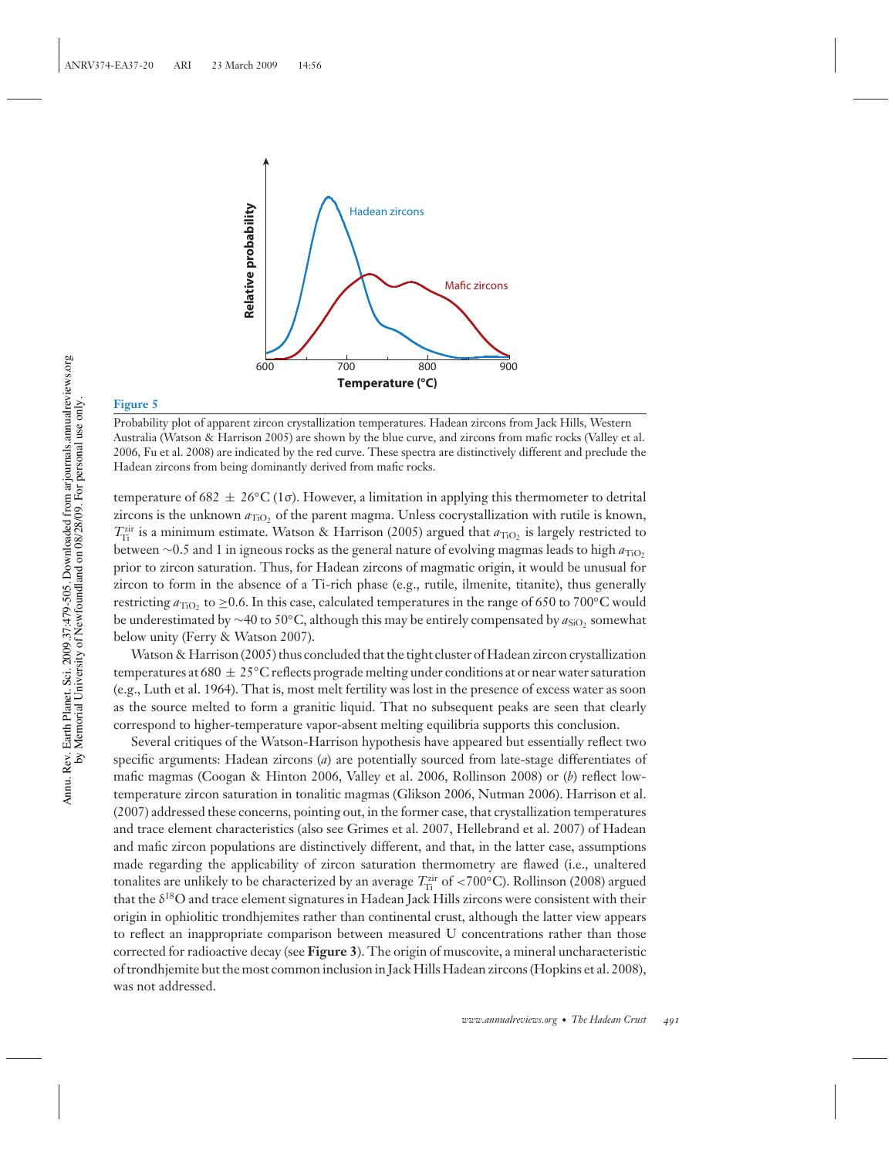

Probability plot of apparent zircon crystallization temperatures. Hadean zircons from Jack Hills, Western Australia (Watson & Harrison 2005) are shown by the blue curve, and zircons from mafic rocks (Valley et al. 2006, Fu et al. 2008) are indicated by the red curve. These spectra are distinctively different and preclude the Hadean zircons from being dominantly derived from mafic rocks.

temperature of 682  $\pm 26^{\circ}C(1\sigma)$ . However, a limitation in applying this thermometer to detrital zircons is the unknown  $a_{TiO<sub>2</sub>}$  of the parent magma. Unless cocrystallization with rutile is known,  $T_{\text{Ti}}^{\text{zir}}$  is a minimum estimate. Watson & Harrison (2005) argued that  $a_{\text{TiO}_2}$  is largely restricted to between ∼0.5 and 1 in igneous rocks as the general nature of evolving magmas leads to high *a*TiO2 prior to zircon saturation. Thus, for Hadean zircons of magmatic origin, it would be unusual for zircon to form in the absence of a Ti-rich phase (e.g., rutile, ilmenite, titanite), thus generally restricting  $a_{\text{TiO}}$ , to ≥0.6. In this case, calculated temperatures in the range of 650 to 700°C would be underestimated by ∼40 to 50°C, although this may be entirely compensated by *a*<sub>SiO</sub>, somewhat below unity (Ferry & Watson 2007).

Watson & Harrison (2005) thus concluded that the tight cluster of Hadean zircon crystallization temperatures at 680  $\pm 25^{\circ}$ C reflects prograde melting under conditions at or near water saturation (e.g., Luth et al. 1964). That is, most melt fertility was lost in the presence of excess water as soon as the source melted to form a granitic liquid. That no subsequent peaks are seen that clearly correspond to higher-temperature vapor-absent melting equilibria supports this conclusion.

Several critiques of the Watson-Harrison hypothesis have appeared but essentially reflect two specific arguments: Hadean zircons (*a*) are potentially sourced from late-stage differentiates of mafic magmas (Coogan & Hinton 2006, Valley et al. 2006, Rollinson 2008) or (*b*) reflect lowtemperature zircon saturation in tonalitic magmas (Glikson 2006, Nutman 2006). Harrison et al. (2007) addressed these concerns, pointing out, in the former case, that crystallization temperatures and trace element characteristics (also see Grimes et al. 2007, Hellebrand et al. 2007) of Hadean and mafic zircon populations are distinctively different, and that, in the latter case, assumptions made regarding the applicability of zircon saturation thermometry are flawed (i.e., unaltered tonalites are unlikely to be characterized by an average  $T^{\text{zir}}_{\text{Ti}}$  of <700°C). Rollinson (2008) argued that the  $\delta^{18}$ O and trace element signatures in Hadean Jack Hills zircons were consistent with their origin in ophiolitic trondhjemites rather than continental crust, although the latter view appears to reflect an inappropriate comparison between measured U concentrations rather than those corrected for radioactive decay (see **Figure 3**). The origin of muscovite, a mineral uncharacteristic of trondhjemite but the most common inclusion in Jack Hills Hadean zircons (Hopkins et al. 2008), was not addressed.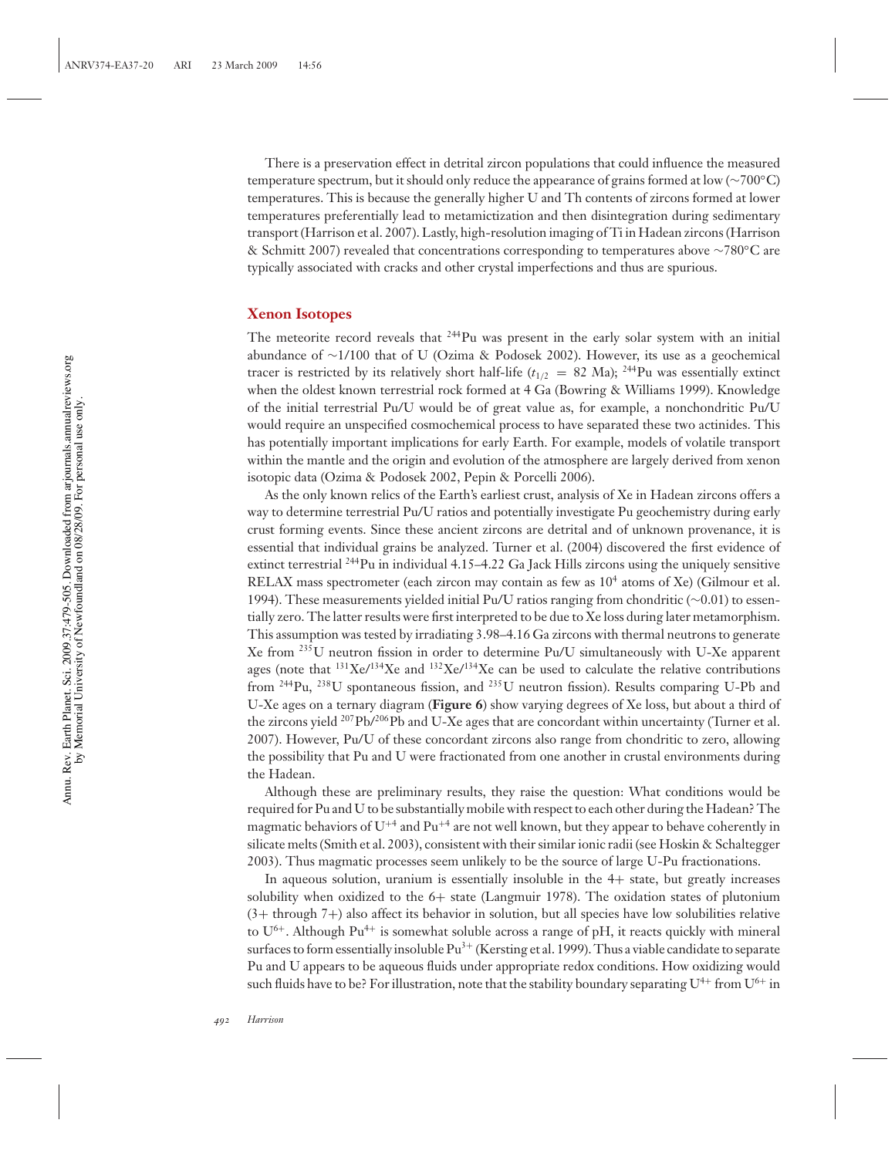There is a preservation effect in detrital zircon populations that could influence the measured temperature spectrum, but it should only reduce the appearance of grains formed at low (∼700◦C) temperatures. This is because the generally higher U and Th contents of zircons formed at lower temperatures preferentially lead to metamictization and then disintegration during sedimentary transport (Harrison et al. 2007). Lastly, high-resolution imaging of Ti in Hadean zircons (Harrison & Schmitt 2007) revealed that concentrations corresponding to temperatures above ∼780◦C are typically associated with cracks and other crystal imperfections and thus are spurious.

#### **Xenon Isotopes**

The meteorite record reveals that  $244$ Pu was present in the early solar system with an initial abundance of ∼1/100 that of U (Ozima & Podosek 2002). However, its use as a geochemical tracer is restricted by its relatively short half-life ( $t_{1/2}$  = 82 Ma); <sup>244</sup>Pu was essentially extinct when the oldest known terrestrial rock formed at 4 Ga (Bowring & Williams 1999). Knowledge of the initial terrestrial Pu/U would be of great value as, for example, a nonchondritic Pu/U would require an unspecified cosmochemical process to have separated these two actinides. This has potentially important implications for early Earth. For example, models of volatile transport within the mantle and the origin and evolution of the atmosphere are largely derived from xenon isotopic data (Ozima & Podosek 2002, Pepin & Porcelli 2006).

As the only known relics of the Earth's earliest crust, analysis of Xe in Hadean zircons offers a way to determine terrestrial Pu/U ratios and potentially investigate Pu geochemistry during early crust forming events. Since these ancient zircons are detrital and of unknown provenance, it is essential that individual grains be analyzed. Turner et al. (2004) discovered the first evidence of extinct terrestrial  $^{244}$ Pu in individual 4.15–4.22 Ga Jack Hills zircons using the uniquely sensitive RELAX mass spectrometer (each zircon may contain as few as  $10^4$  atoms of Xe) (Gilmour et al. 1994). These measurements yielded initial Pu/U ratios ranging from chondritic (∼0.01) to essentially zero. The latter results were first interpreted to be due to Xe loss during later metamorphism. This assumption was tested by irradiating 3.98–4.16 Ga zircons with thermal neutrons to generate Xe from <sup>235</sup>U neutron fission in order to determine Pu/U simultaneously with U-Xe apparent ages (note that  $^{131}$ Xe/ $^{134}$ Xe and  $^{132}$ Xe/ $^{134}$ Xe can be used to calculate the relative contributions from <sup>244</sup>Pu, <sup>238</sup>U spontaneous fission, and <sup>235</sup>U neutron fission). Results comparing U-Pb and U-Xe ages on a ternary diagram (**Figure 6**) show varying degrees of Xe loss, but about a third of the zircons yield <sup>207</sup>Pb/<sup>206</sup>Pb and U-Xe ages that are concordant within uncertainty (Turner et al. 2007). However, Pu/U of these concordant zircons also range from chondritic to zero, allowing the possibility that Pu and U were fractionated from one another in crustal environments during the Hadean.

Although these are preliminary results, they raise the question: What conditions would be required for Pu and U to be substantially mobile with respect to each other during the Hadean? The magmatic behaviors of  $U^{+4}$  and  $Pu^{+4}$  are not well known, but they appear to behave coherently in silicate melts (Smith et al. 2003), consistent with their similar ionic radii (see Hoskin & Schaltegger 2003). Thus magmatic processes seem unlikely to be the source of large U-Pu fractionations.

In aqueous solution, uranium is essentially insoluble in the 4+ state, but greatly increases solubility when oxidized to the  $6+$  state (Langmuir 1978). The oxidation states of plutonium (3+ through 7+) also affect its behavior in solution, but all species have low solubilities relative to  $U^{6+}$ . Although Pu<sup>4+</sup> is somewhat soluble across a range of pH, it reacts quickly with mineral surfaces to form essentially insoluble Pu<sup>3+</sup> (Kersting et al. 1999). Thus a viable candidate to separate Pu and U appears to be aqueous fluids under appropriate redox conditions. How oxidizing would such fluids have to be? For illustration, note that the stability boundary separating  $U^{4+}$  from  $U^{6+}$  in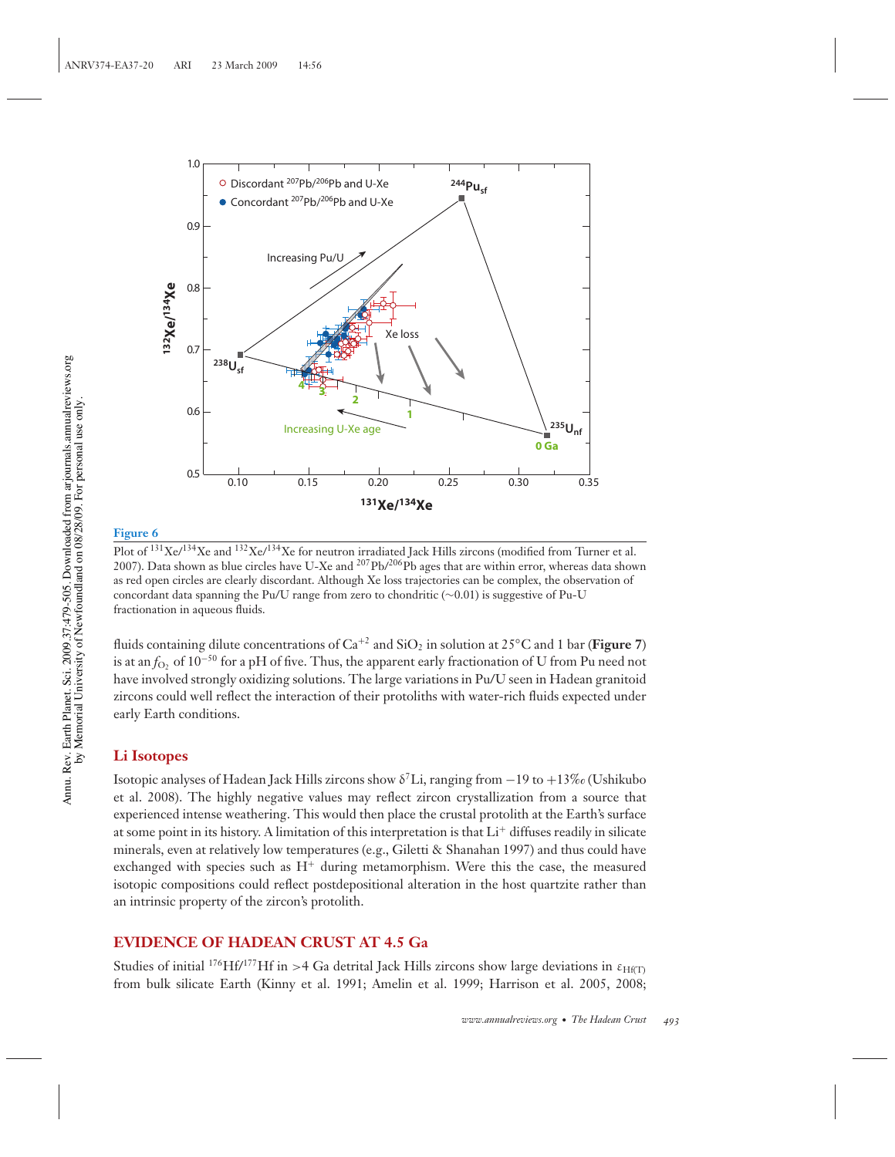

Plot of <sup>131</sup>Xe/<sup>134</sup>Xe and <sup>132</sup>Xe/<sup>134</sup>Xe for neutron irradiated Jack Hills zircons (modified from Turner et al. 2007). Data shown as blue circles have U-Xe and  $207Pb/206Pb$  ages that are within error, whereas data shown as red open circles are clearly discordant. Although Xe loss trajectories can be complex, the observation of concordant data spanning the Pu/U range from zero to chondritic (∼0.01) is suggestive of Pu-U fractionation in aqueous fluids.

fluids containing dilute concentrations of  $Ca^{+2}$  and  $SiO<sub>2</sub>$  in solution at 25°C and 1 bar (**Figure 7**) is at an *f*<sub>O</sub>, of 10<sup>-50</sup> for a pH of five. Thus, the apparent early fractionation of U from Pu need not have involved strongly oxidizing solutions. The large variations in Pu/U seen in Hadean granitoid zircons could well reflect the interaction of their protoliths with water-rich fluids expected under early Earth conditions.

## **Li Isotopes**

Isotopic analyses of Hadean Jack Hills zircons show  $\delta^7$ Li, ranging from −19 to +13‰ (Ushikubo et al. 2008). The highly negative values may reflect zircon crystallization from a source that experienced intense weathering. This would then place the crustal protolith at the Earth's surface at some point in its history. A limitation of this interpretation is that  $Li<sup>+</sup>$  diffuses readily in silicate minerals, even at relatively low temperatures (e.g., Giletti & Shanahan 1997) and thus could have exchanged with species such as  $H^+$  during metamorphism. Were this the case, the measured isotopic compositions could reflect postdepositional alteration in the host quartzite rather than an intrinsic property of the zircon's protolith.

## **EVIDENCE OF HADEAN CRUST AT 4.5 Ga**

Studies of initial  $176$ Hf/<sup>177</sup>Hf in >4 Ga detrital Jack Hills zircons show large deviations in  $\varepsilon_{\text{HfT}}$ from bulk silicate Earth (Kinny et al. 1991; Amelin et al. 1999; Harrison et al. 2005, 2008;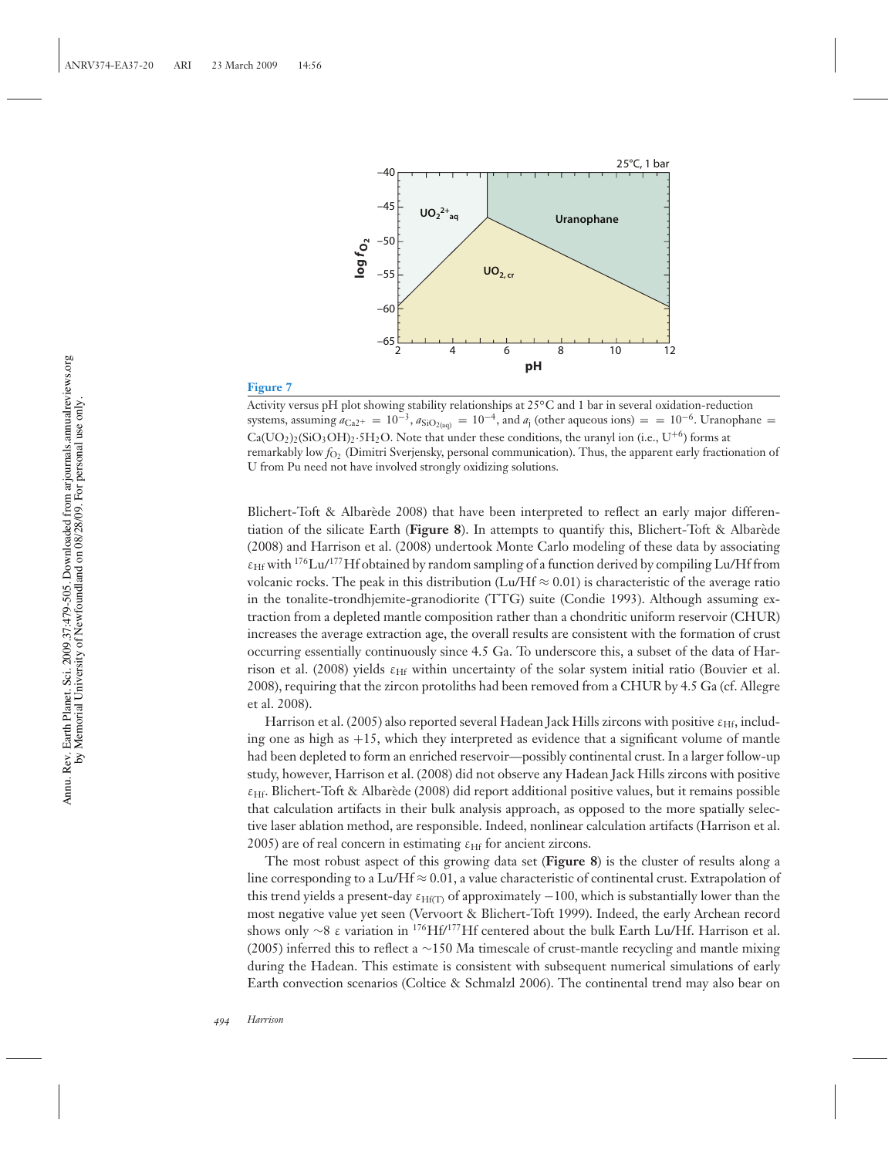

Activity versus pH plot showing stability relationships at 25◦C and 1 bar in several oxidation-reduction systems, assuming  $a_{Ca2+} = 10^{-3}$ ,  $a_{SiO_{2(aq)}} = 10^{-4}$ , and  $a_i$  (other aqueous ions) = = 10<sup>-6</sup>. Uranophane =  $Ca(UO<sub>2</sub>)<sub>2</sub>(SiO<sub>3</sub>OH)<sub>2</sub>·5H<sub>2</sub>O$ . Note that under these conditions, the uranyl ion (i.e., U<sup>+6</sup>) forms at remarkably low  $f_{\text{O}_2}$  (Dimitri Sverjensky, personal communication). Thus, the apparent early fractionation of U from Pu need not have involved strongly oxidizing solutions.

Blichert-Toft & Albarède 2008) that have been interpreted to reflect an early major differentiation of the silicate Earth (**Figure 8**). In attempts to quantify this, Blichert-Toft & Albarede ` (2008) and Harrison et al. (2008) undertook Monte Carlo modeling of these data by associating  $\varepsilon_{Hf}$  with <sup>176</sup>Lu/<sup>177</sup>Hf obtained by random sampling of a function derived by compiling Lu/Hf from volcanic rocks. The peak in this distribution (Lu/Hf  $\approx 0.01$ ) is characteristic of the average ratio in the tonalite-trondhjemite-granodiorite (TTG) suite (Condie 1993). Although assuming extraction from a depleted mantle composition rather than a chondritic uniform reservoir (CHUR) increases the average extraction age, the overall results are consistent with the formation of crust occurring essentially continuously since 4.5 Ga. To underscore this, a subset of the data of Harrison et al. (2008) yields  $\varepsilon$ <sub>Hf</sub> within uncertainty of the solar system initial ratio (Bouvier et al. 2008), requiring that the zircon protoliths had been removed from a CHUR by 4.5 Ga (cf. Allegre et al. 2008).

Harrison et al. (2005) also reported several Hadean Jack Hills zircons with positive  $\varepsilon_{\text{Hf}}$ , including one as high as  $+15$ , which they interpreted as evidence that a significant volume of mantle had been depleted to form an enriched reservoir—possibly continental crust. In a larger follow-up study, however, Harrison et al. (2008) did not observe any Hadean Jack Hills zircons with positive  $\varepsilon$ <sub>Hf</sub>. Blichert-Toft & Albarède (2008) did report additional positive values, but it remains possible that calculation artifacts in their bulk analysis approach, as opposed to the more spatially selective laser ablation method, are responsible. Indeed, nonlinear calculation artifacts (Harrison et al. 2005) are of real concern in estimating  $\varepsilon$ <sub>Hf</sub> for ancient zircons.

The most robust aspect of this growing data set (**Figure 8**) is the cluster of results along a line corresponding to a Lu/Hf  $\approx 0.01$ , a value characteristic of continental crust. Extrapolation of this trend yields a present-day  $\varepsilon_{\text{Hf(T)}}$  of approximately  $-100$ , which is substantially lower than the most negative value yet seen (Vervoort & Blichert-Toft 1999). Indeed, the early Archean record shows only ∼8 ε variation in <sup>176</sup>Hf/<sup>177</sup>Hf centered about the bulk Earth Lu/Hf. Harrison et al. (2005) inferred this to reflect a ∼150 Ma timescale of crust-mantle recycling and mantle mixing during the Hadean. This estimate is consistent with subsequent numerical simulations of early Earth convection scenarios (Coltice & Schmalzl 2006). The continental trend may also bear on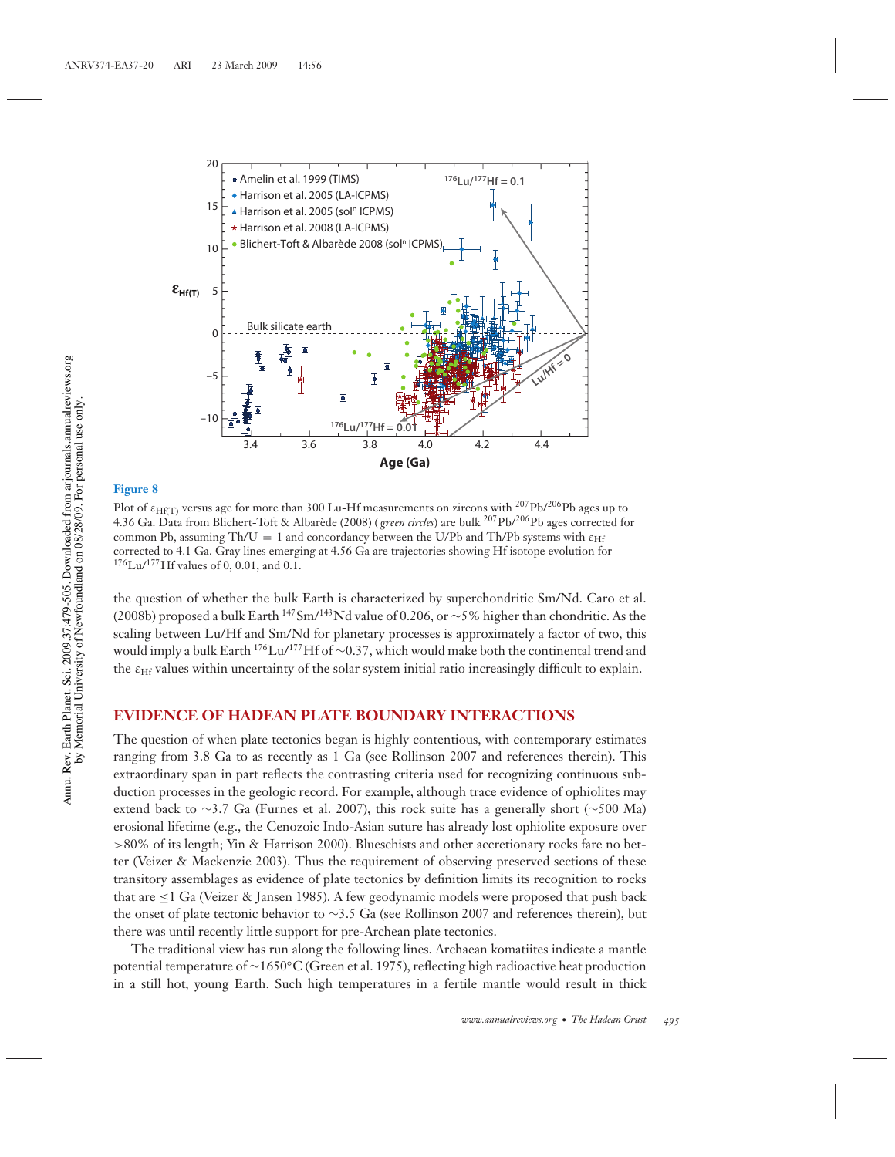

Plot of  $\varepsilon$ <sub>Hf(T)</sub> versus age for more than 300 Lu-Hf measurements on zircons with <sup>207</sup>Pb/<sup>206</sup>Pb ages up to 4.36 Ga. Data from Blichert-Toft & Albarède (2008) (*green circles*) are bulk <sup>207</sup>Pb/<sup>206</sup>Pb ages corrected for common Pb, assuming Th/U = 1 and concordancy between the U/Pb and Th/Pb systems with  $\varepsilon_{\text{Hf}}$ corrected to 4.1 Ga. Gray lines emerging at 4.56 Ga are trajectories showing Hf isotope evolution for  $176$ Lu/ $177$ Hf values of 0, 0.01, and 0.1.

the question of whether the bulk Earth is characterized by superchondritic Sm/Nd. Caro et al. (2008b) proposed a bulk Earth <sup>147</sup>Sm/<sup>143</sup>Nd value of 0.206, or ∼5% higher than chondritic. As the scaling between Lu/Hf and Sm/Nd for planetary processes is approximately a factor of two, this would imply a bulk Earth 176Lu/177Hf of <sup>∼</sup>0.37, which would make both the continental trend and the ε<sub>Hf</sub> values within uncertainty of the solar system initial ratio increasingly difficult to explain.

## **EVIDENCE OF HADEAN PLATE BOUNDARY INTERACTIONS**

The question of when plate tectonics began is highly contentious, with contemporary estimates ranging from 3.8 Ga to as recently as 1 Ga (see Rollinson 2007 and references therein). This extraordinary span in part reflects the contrasting criteria used for recognizing continuous subduction processes in the geologic record. For example, although trace evidence of ophiolites may extend back to ∼3.7 Ga (Furnes et al. 2007), this rock suite has a generally short (∼500 Ma) erosional lifetime (e.g., the Cenozoic Indo-Asian suture has already lost ophiolite exposure over >80% of its length; Yin & Harrison 2000). Blueschists and other accretionary rocks fare no better (Veizer & Mackenzie 2003). Thus the requirement of observing preserved sections of these transitory assemblages as evidence of plate tectonics by definition limits its recognition to rocks that are  $\leq 1$  Ga (Veizer & Jansen 1985). A few geodynamic models were proposed that push back the onset of plate tectonic behavior to ∼3.5 Ga (see Rollinson 2007 and references therein), but there was until recently little support for pre-Archean plate tectonics.

The traditional view has run along the following lines. Archaean komatiites indicate a mantle potential temperature of ∼1650◦C (Green et al. 1975), reflecting high radioactive heat production in a still hot, young Earth. Such high temperatures in a fertile mantle would result in thick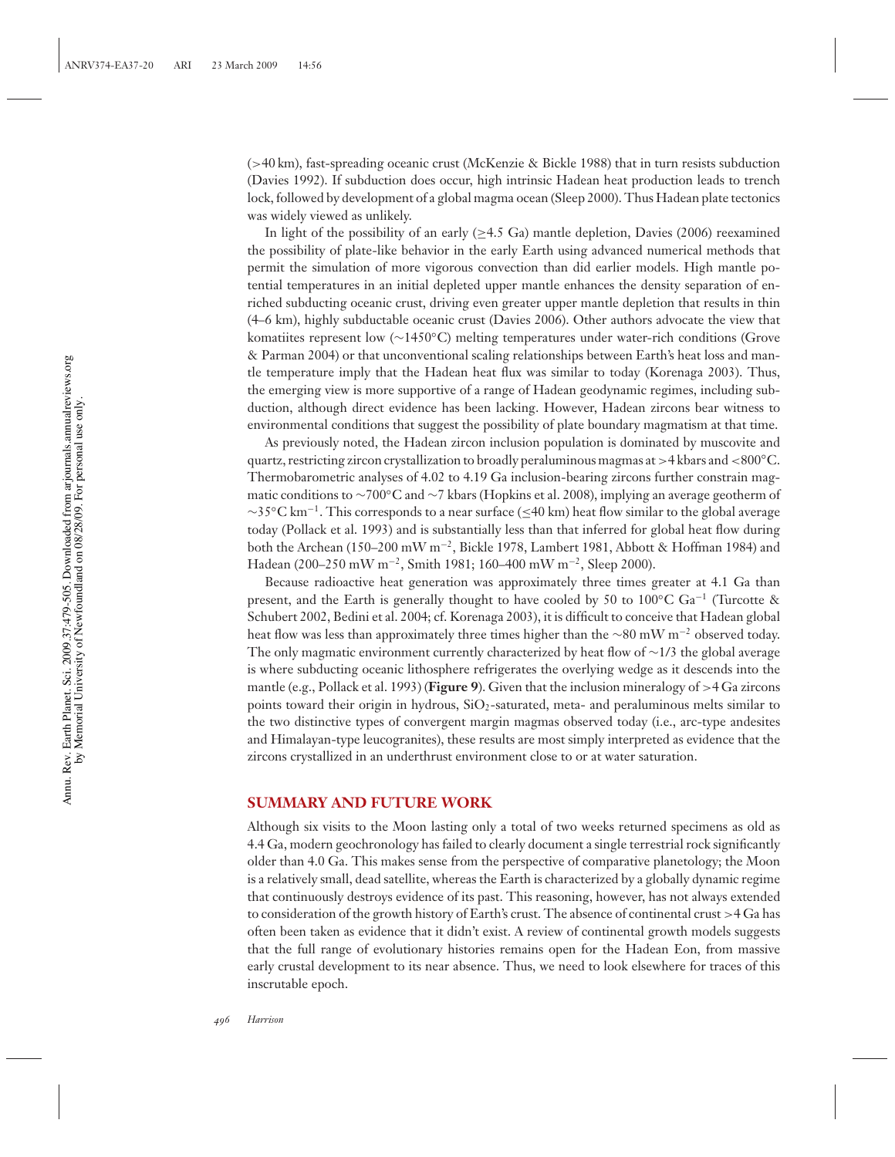(>40 km), fast-spreading oceanic crust (McKenzie & Bickle 1988) that in turn resists subduction (Davies 1992). If subduction does occur, high intrinsic Hadean heat production leads to trench lock, followed by development of a global magma ocean (Sleep 2000). Thus Hadean plate tectonics was widely viewed as unlikely.

In light of the possibility of an early  $(\geq 4.5 \text{ Ga})$  mantle depletion, Davies (2006) reexamined the possibility of plate-like behavior in the early Earth using advanced numerical methods that permit the simulation of more vigorous convection than did earlier models. High mantle potential temperatures in an initial depleted upper mantle enhances the density separation of enriched subducting oceanic crust, driving even greater upper mantle depletion that results in thin (4–6 km), highly subductable oceanic crust (Davies 2006). Other authors advocate the view that komatiites represent low (∼1450◦C) melting temperatures under water-rich conditions (Grove & Parman 2004) or that unconventional scaling relationships between Earth's heat loss and mantle temperature imply that the Hadean heat flux was similar to today (Korenaga 2003). Thus, the emerging view is more supportive of a range of Hadean geodynamic regimes, including subduction, although direct evidence has been lacking. However, Hadean zircons bear witness to environmental conditions that suggest the possibility of plate boundary magmatism at that time.

As previously noted, the Hadean zircon inclusion population is dominated by muscovite and quartz, restricting zircon crystallization to broadly peraluminous magmas at >4 kbars and <800◦C. Thermobarometric analyses of 4.02 to 4.19 Ga inclusion-bearing zircons further constrain magmatic conditions to ∼700◦C and ∼7 kbars (Hopkins et al. 2008), implying an average geotherm of  $\sim$ 35 $^{\circ}$ C km<sup>-1</sup>. This corresponds to a near surface (≤40 km) heat flow similar to the global average today (Pollack et al. 1993) and is substantially less than that inferred for global heat flow during both the Archean (150–200 mW m<sup>-2</sup>, Bickle 1978, Lambert 1981, Abbott & Hoffman 1984) and Hadean (200–250 mW m−2, Smith 1981; 160–400 mW m−2, Sleep 2000).

Because radioactive heat generation was approximately three times greater at 4.1 Ga than present, and the Earth is generally thought to have cooled by 50 to 100◦C Ga−<sup>1</sup> (Turcotte & Schubert 2002, Bedini et al. 2004; cf. Korenaga 2003), it is difficult to conceive that Hadean global heat flow was less than approximately three times higher than the <sup>∼</sup>80 mW m−<sup>2</sup> observed today. The only magmatic environment currently characterized by heat flow of  $\sim$ 1/3 the global average is where subducting oceanic lithosphere refrigerates the overlying wedge as it descends into the mantle (e.g., Pollack et al. 1993) (**Figure 9**). Given that the inclusion mineralogy of >4 Ga zircons points toward their origin in hydrous,  $SiO<sub>2</sub>$ -saturated, meta- and peraluminous melts similar to the two distinctive types of convergent margin magmas observed today (i.e., arc-type andesites and Himalayan-type leucogranites), these results are most simply interpreted as evidence that the zircons crystallized in an underthrust environment close to or at water saturation.

### **SUMMARY AND FUTURE WORK**

Although six visits to the Moon lasting only a total of two weeks returned specimens as old as 4.4 Ga, modern geochronology has failed to clearly document a single terrestrial rock significantly older than 4.0 Ga. This makes sense from the perspective of comparative planetology; the Moon is a relatively small, dead satellite, whereas the Earth is characterized by a globally dynamic regime that continuously destroys evidence of its past. This reasoning, however, has not always extended to consideration of the growth history of Earth's crust. The absence of continental crust >4 Ga has often been taken as evidence that it didn't exist. A review of continental growth models suggests that the full range of evolutionary histories remains open for the Hadean Eon, from massive early crustal development to its near absence. Thus, we need to look elsewhere for traces of this inscrutable epoch.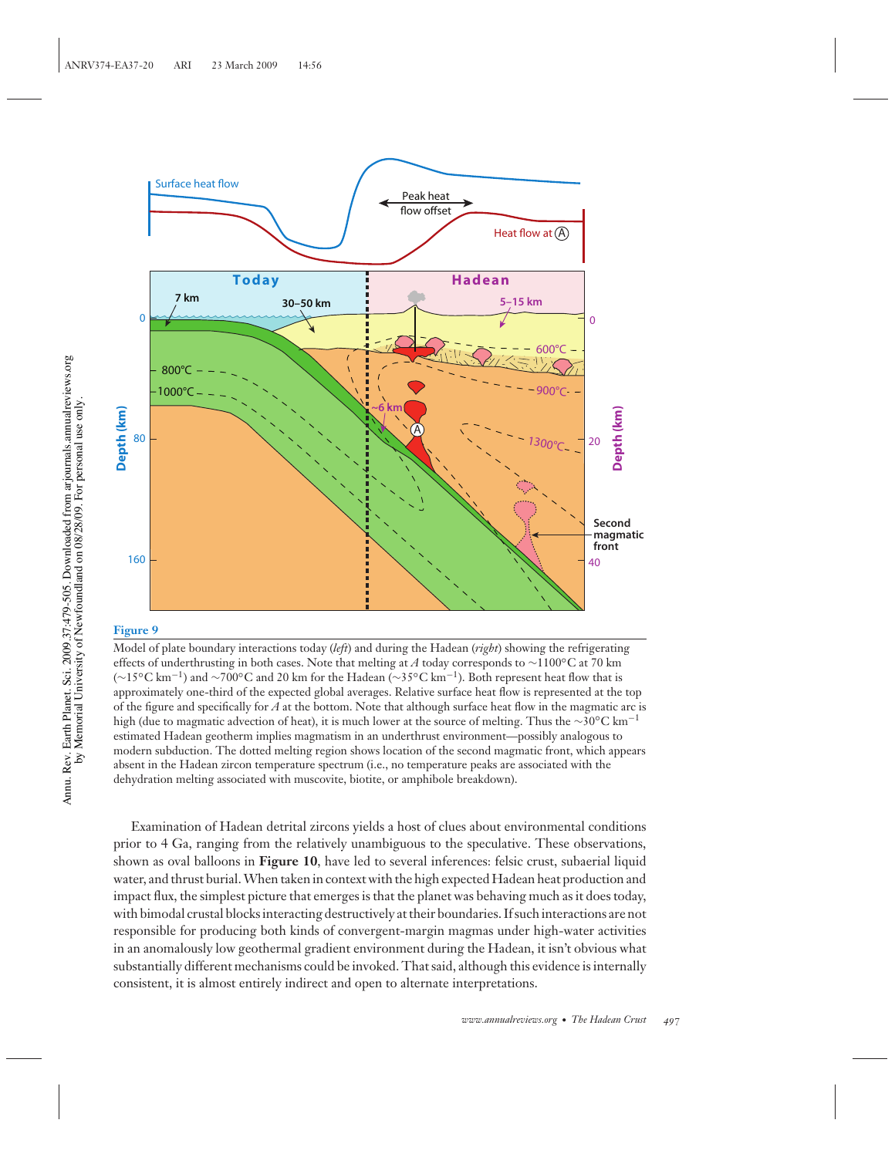

Model of plate boundary interactions today (*left*) and during the Hadean (*right*) showing the refrigerating effects of underthrusting in both cases. Note that melting at *A* today corresponds to ∼1100◦C at 70 km (∼15◦C km−1) and <sup>∼</sup>700◦C and 20 km for the Hadean (∼35◦C km−1). Both represent heat flow that is approximately one-third of the expected global averages. Relative surface heat flow is represented at the top of the figure and specifically for *A* at the bottom. Note that although surface heat flow in the magmatic arc is high (due to magmatic advection of heat), it is much lower at the source of melting. Thus the <sup>∼</sup>30◦C km−<sup>1</sup> estimated Hadean geotherm implies magmatism in an underthrust environment—possibly analogous to modern subduction. The dotted melting region shows location of the second magmatic front, which appears absent in the Hadean zircon temperature spectrum (i.e., no temperature peaks are associated with the dehydration melting associated with muscovite, biotite, or amphibole breakdown).

Examination of Hadean detrital zircons yields a host of clues about environmental conditions prior to 4 Ga, ranging from the relatively unambiguous to the speculative. These observations, shown as oval balloons in **Figure 10**, have led to several inferences: felsic crust, subaerial liquid water, and thrust burial.When taken in context with the high expected Hadean heat production and impact flux, the simplest picture that emerges is that the planet was behaving much as it does today, with bimodal crustal blocks interacting destructively at their boundaries. If such interactions are not responsible for producing both kinds of convergent-margin magmas under high-water activities in an anomalously low geothermal gradient environment during the Hadean, it isn't obvious what substantially different mechanisms could be invoked. That said, although this evidence is internally consistent, it is almost entirely indirect and open to alternate interpretations.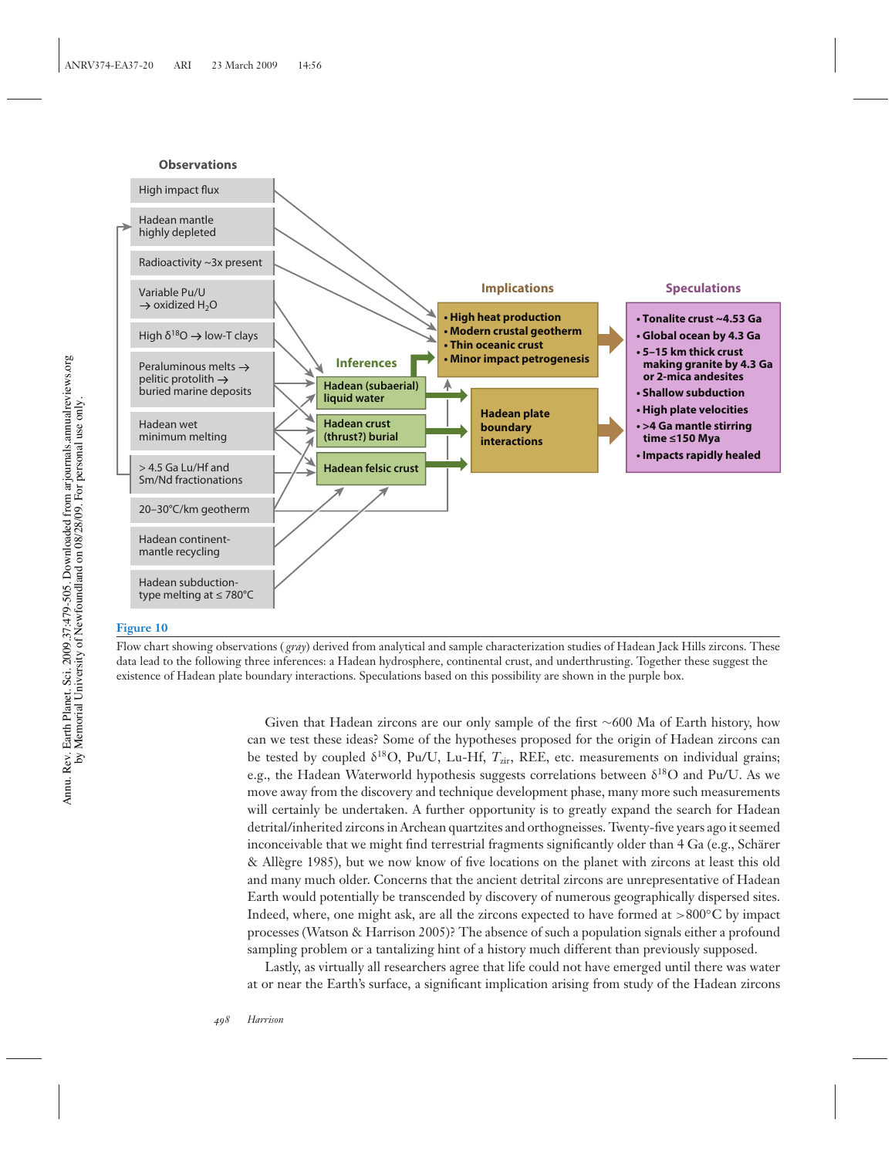#### **Observations**



#### **Figure 10**

Flow chart showing observations ( *gray*) derived from analytical and sample characterization studies of Hadean Jack Hills zircons. These data lead to the following three inferences: a Hadean hydrosphere, continental crust, and underthrusting. Together these suggest the existence of Hadean plate boundary interactions. Speculations based on this possibility are shown in the purple box.

> Given that Hadean zircons are our only sample of the first ∼600 Ma of Earth history, how can we test these ideas? Some of the hypotheses proposed for the origin of Hadean zircons can be tested by coupled  $\delta^{18}O$ , Pu/U, Lu-Hf,  $T_{\text{zir}}$ , REE, etc. measurements on individual grains; e.g., the Hadean Waterworld hypothesis suggests correlations between  $\delta^{18}O$  and Pu/U. As we move away from the discovery and technique development phase, many more such measurements will certainly be undertaken. A further opportunity is to greatly expand the search for Hadean detrital/inherited zircons in Archean quartzites and orthogneisses. Twenty-five years ago it seemed inconceivable that we might find terrestrial fragments significantly older than  $4$  Ga (e.g., Schärer & Allegre 1985), but we now know of five locations on the planet with zircons at least this old ` and many much older. Concerns that the ancient detrital zircons are unrepresentative of Hadean Earth would potentially be transcended by discovery of numerous geographically dispersed sites. Indeed, where, one might ask, are all the zircons expected to have formed at  $>800°C$  by impact processes (Watson & Harrison 2005)? The absence of such a population signals either a profound sampling problem or a tantalizing hint of a history much different than previously supposed.

> Lastly, as virtually all researchers agree that life could not have emerged until there was water at or near the Earth's surface, a significant implication arising from study of the Hadean zircons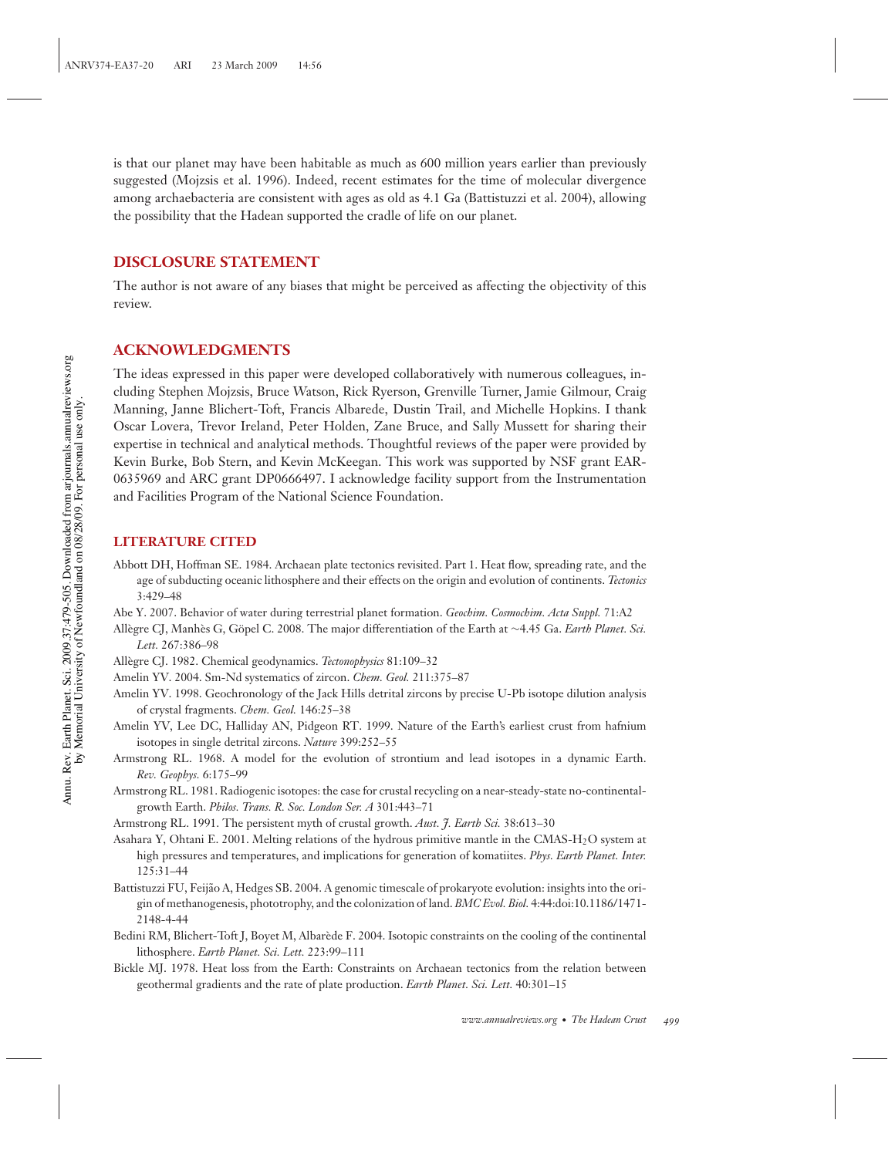is that our planet may have been habitable as much as 600 million years earlier than previously suggested (Mojzsis et al. 1996). Indeed, recent estimates for the time of molecular divergence among archaebacteria are consistent with ages as old as 4.1 Ga (Battistuzzi et al. 2004), allowing the possibility that the Hadean supported the cradle of life on our planet.

## **DISCLOSURE STATEMENT**

The author is not aware of any biases that might be perceived as affecting the objectivity of this review.

## **ACKNOWLEDGMENTS**

The ideas expressed in this paper were developed collaboratively with numerous colleagues, including Stephen Mojzsis, Bruce Watson, Rick Ryerson, Grenville Turner, Jamie Gilmour, Craig Manning, Janne Blichert-Toft, Francis Albarede, Dustin Trail, and Michelle Hopkins. I thank Oscar Lovera, Trevor Ireland, Peter Holden, Zane Bruce, and Sally Mussett for sharing their expertise in technical and analytical methods. Thoughtful reviews of the paper were provided by Kevin Burke, Bob Stern, and Kevin McKeegan. This work was supported by NSF grant EAR-0635969 and ARC grant DP0666497. I acknowledge facility support from the Instrumentation and Facilities Program of the National Science Foundation.

## **LITERATURE CITED**

- Abbott DH, Hoffman SE. 1984. Archaean plate tectonics revisited. Part 1. Heat flow, spreading rate, and the age of subducting oceanic lithosphere and their effects on the origin and evolution of continents. *Tectonics* 3:429–48
- Abe Y. 2007. Behavior of water during terrestrial planet formation. *Geochim. Cosmochim. Acta Suppl.* 71:A2
- Allègre CJ, Manhès G, Göpel C. 2008. The major differentiation of the Earth at ~4.45 Ga. *Earth Planet. Sci. Lett.* 267:386–98
- Allegre CJ. 1982. Chemical geodynamics. ` *Tectonophysics* 81:109–32
- Amelin YV. 2004. Sm-Nd systematics of zircon. *Chem. Geol.* 211:375–87
- Amelin YV. 1998. Geochronology of the Jack Hills detrital zircons by precise U-Pb isotope dilution analysis of crystal fragments. *Chem. Geol.* 146:25–38
- Amelin YV, Lee DC, Halliday AN, Pidgeon RT. 1999. Nature of the Earth's earliest crust from hafnium isotopes in single detrital zircons. *Nature* 399:252–55
- Armstrong RL. 1968. A model for the evolution of strontium and lead isotopes in a dynamic Earth. *Rev. Geophys.* 6:175–99
- Armstrong RL. 1981. Radiogenic isotopes: the case for crustal recycling on a near-steady-state no-continentalgrowth Earth. *Philos. Trans. R. Soc. London Ser. A* 301:443–71
- Armstrong RL. 1991. The persistent myth of crustal growth. *Aust. J. Earth Sci.* 38:613–30
- Asahara Y, Ohtani E. 2001. Melting relations of the hydrous primitive mantle in the CMAS-H2O system at high pressures and temperatures, and implications for generation of komatiites. *Phys. Earth Planet. Inter.* 125:31–44
- Battistuzzi FU, Feijão A, Hedges SB. 2004. A genomic timescale of prokaryote evolution: insights into the origin of methanogenesis, phototrophy, and the colonization of land. *BMC Evol. Biol.* 4:44:doi:10.1186/1471- 2148-4-44
- Bedini RM, Blichert-Toft J, Boyet M, Albarede F. 2004. Isotopic constraints on the cooling of the continental ` lithosphere. *Earth Planet. Sci. Lett.* 223:99–111
- Bickle MJ. 1978. Heat loss from the Earth: Constraints on Archaean tectonics from the relation between geothermal gradients and the rate of plate production. *Earth Planet. Sci. Lett.* 40:301–15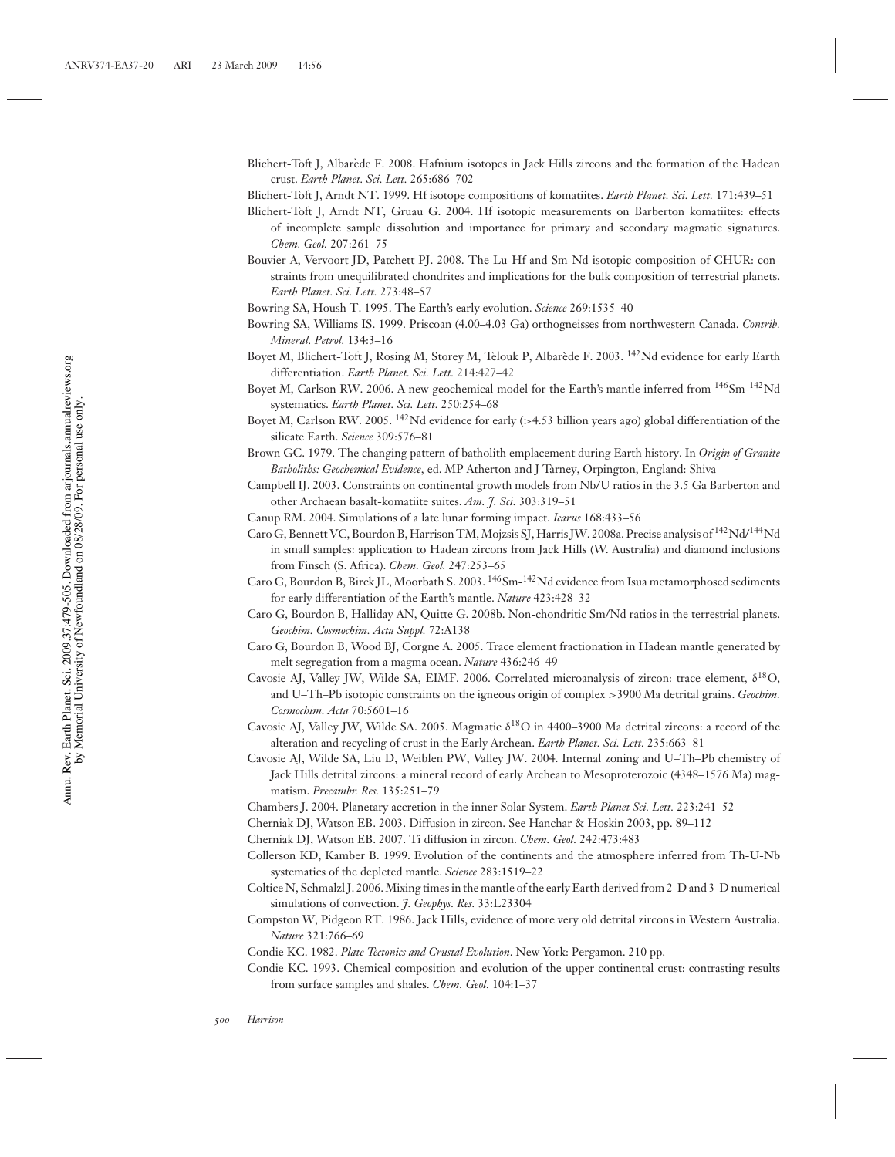- Blichert-Toft J, Albarede F. 2008. Hafnium isotopes in Jack Hills zircons and the formation of the Hadean ` crust. *Earth Planet. Sci. Lett.* 265:686–702
- Blichert-Toft J, Arndt NT. 1999. Hf isotope compositions of komatiites. *Earth Planet. Sci. Lett.* 171:439–51
- Blichert-Toft J, Arndt NT, Gruau G. 2004. Hf isotopic measurements on Barberton komatiites: effects of incomplete sample dissolution and importance for primary and secondary magmatic signatures. *Chem. Geol.* 207:261–75
- Bouvier A, Vervoort JD, Patchett PJ. 2008. The Lu-Hf and Sm-Nd isotopic composition of CHUR: constraints from unequilibrated chondrites and implications for the bulk composition of terrestrial planets. *Earth Planet. Sci. Lett.* 273:48–57
- Bowring SA, Housh T. 1995. The Earth's early evolution. *Science* 269:1535–40
- Bowring SA, Williams IS. 1999. Priscoan (4.00–4.03 Ga) orthogneisses from northwestern Canada. *Contrib. Mineral. Petrol.* 134:3–16
- Boyet M, Blichert-Toft J, Rosing M, Storey M, Telouk P, Albarède F. 2003. <sup>142</sup>Nd evidence for early Earth differentiation. *Earth Planet. Sci. Lett.* 214:427–42
- Boyet M, Carlson RW. 2006. A new geochemical model for the Earth's mantle inferred from <sup>146</sup>Sm-<sup>142</sup>Nd systematics. *Earth Planet. Sci. Lett.* 250:254–68
- Boyet M, Carlson RW. 2005. <sup>142</sup>Nd evidence for early (>4.53 billion years ago) global differentiation of the silicate Earth. *Science* 309:576–81
- Brown GC. 1979. The changing pattern of batholith emplacement during Earth history. In *Origin of Granite Batholiths: Geochemical Evidence*, ed. MP Atherton and J Tarney, Orpington, England: Shiva
- Campbell IJ. 2003. Constraints on continental growth models from Nb/U ratios in the 3.5 Ga Barberton and other Archaean basalt-komatiite suites. *Am. J. Sci.* 303:319–51
- Canup RM. 2004. Simulations of a late lunar forming impact. *Icarus* 168:433–56
- Caro G, Bennett VC, Bourdon B, Harrison TM, Mojzsis SJ, Harris JW. 2008a. Precise analysis of <sup>142</sup>Nd/<sup>144</sup>Nd in small samples: application to Hadean zircons from Jack Hills (W. Australia) and diamond inclusions from Finsch (S. Africa). *Chem. Geol.* 247:253–65
- Caro G, Bourdon B, Birck JL, Moorbath S. 2003. <sup>146</sup>Sm-<sup>142</sup>Nd evidence from Isua metamorphosed sediments for early differentiation of the Earth's mantle. *Nature* 423:428–32
- Caro G, Bourdon B, Halliday AN, Quitte G. 2008b. Non-chondritic Sm/Nd ratios in the terrestrial planets. *Geochim. Cosmochim. Acta Suppl.* 72:A138
- Caro G, Bourdon B, Wood BJ, Corgne A. 2005. Trace element fractionation in Hadean mantle generated by melt segregation from a magma ocean. *Nature* 436:246–49
- Cavosie AJ, Valley JW, Wilde SA, EIMF. 2006. Correlated microanalysis of zircon: trace element, δ18O, and U–Th–Pb isotopic constraints on the igneous origin of complex >3900 Ma detrital grains. *Geochim. Cosmochim. Acta* 70:5601–16
- Cavosie AJ, Valley JW, Wilde SA. 2005. Magmatic  $\delta^{18}O$  in 4400–3900 Ma detrital zircons: a record of the alteration and recycling of crust in the Early Archean. *Earth Planet. Sci. Lett.* 235:663–81
- Cavosie AJ, Wilde SA, Liu D, Weiblen PW, Valley JW. 2004. Internal zoning and U–Th–Pb chemistry of Jack Hills detrital zircons: a mineral record of early Archean to Mesoproterozoic (4348–1576 Ma) magmatism. *Precambr. Res.* 135:251–79
- Chambers J. 2004. Planetary accretion in the inner Solar System. *Earth Planet Sci. Lett.* 223:241–52
- Cherniak DJ, Watson EB. 2003. Diffusion in zircon. See Hanchar & Hoskin 2003, pp. 89–112
- Cherniak DJ, Watson EB. 2007. Ti diffusion in zircon. *Chem. Geol.* 242:473:483
- Collerson KD, Kamber B. 1999. Evolution of the continents and the atmosphere inferred from Th-U-Nb systematics of the depleted mantle. *Science* 283:1519–22
- Coltice N, Schmalzl J. 2006. Mixing times in the mantle of the early Earth derived from 2-D and 3-D numerical simulations of convection. *J. Geophys. Res.* 33:L23304
- Compston W, Pidgeon RT. 1986. Jack Hills, evidence of more very old detrital zircons in Western Australia. *Nature* 321:766–69
- Condie KC. 1982. *Plate Tectonics and Crustal Evolution*. New York: Pergamon. 210 pp.
- Condie KC. 1993. Chemical composition and evolution of the upper continental crust: contrasting results from surface samples and shales. *Chem. Geol.* 104:1–37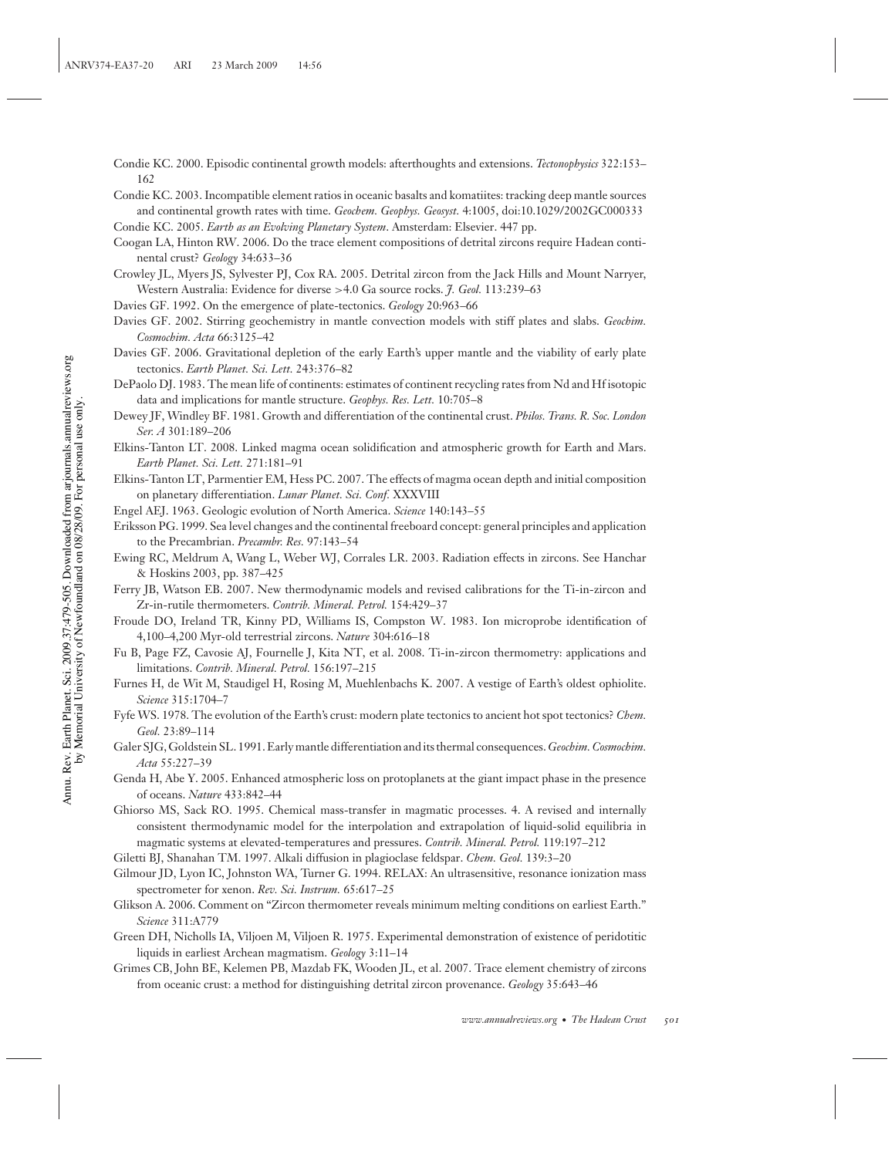- Condie KC. 2000. Episodic continental growth models: afterthoughts and extensions. *Tectonophysics* 322:153– 162
- Condie KC. 2003. Incompatible element ratios in oceanic basalts and komatiites: tracking deep mantle sources and continental growth rates with time. *Geochem. Geophys. Geosyst.* 4:1005, doi:10.1029/2002GC000333
- Condie KC. 2005. *Earth as an Evolving Planetary System*. Amsterdam: Elsevier. 447 pp.
- Coogan LA, Hinton RW. 2006. Do the trace element compositions of detrital zircons require Hadean continental crust? *Geology* 34:633–36
- Crowley JL, Myers JS, Sylvester PJ, Cox RA. 2005. Detrital zircon from the Jack Hills and Mount Narryer, Western Australia: Evidence for diverse >4.0 Ga source rocks. *J. Geol.* 113:239–63
- Davies GF. 1992. On the emergence of plate-tectonics. *Geology* 20:963–66
- Davies GF. 2002. Stirring geochemistry in mantle convection models with stiff plates and slabs. *Geochim. Cosmochim. Acta* 66:3125–42
- Davies GF. 2006. Gravitational depletion of the early Earth's upper mantle and the viability of early plate tectonics. *Earth Planet. Sci. Lett.* 243:376–82
- DePaolo DJ. 1983. The mean life of continents: estimates of continent recycling rates from Nd and Hf isotopic data and implications for mantle structure. *Geophys. Res. Lett.* 10:705–8
- Dewey JF, Windley BF. 1981. Growth and differentiation of the continental crust. *Philos. Trans. R. Soc. London Ser. A* 301:189–206
- Elkins-Tanton LT. 2008. Linked magma ocean solidification and atmospheric growth for Earth and Mars. *Earth Planet. Sci. Lett.* 271:181–91
- Elkins-Tanton LT, Parmentier EM, Hess PC. 2007. The effects of magma ocean depth and initial composition on planetary differentiation. *Lunar Planet. Sci. Conf.* XXXVIII
- Engel AEJ. 1963. Geologic evolution of North America. *Science* 140:143–55
- Eriksson PG. 1999. Sea level changes and the continental freeboard concept: general principles and application to the Precambrian. *Precambr. Res.* 97:143–54
- Ewing RC, Meldrum A, Wang L, Weber WJ, Corrales LR. 2003. Radiation effects in zircons. See Hanchar & Hoskins 2003, pp. 387–425
- Ferry JB, Watson EB. 2007. New thermodynamic models and revised calibrations for the Ti-in-zircon and Zr-in-rutile thermometers. *Contrib. Mineral. Petrol.* 154:429–37
- Froude DO, Ireland TR, Kinny PD, Williams IS, Compston W. 1983. Ion microprobe identification of 4,100–4,200 Myr-old terrestrial zircons. *Nature* 304:616–18
- Fu B, Page FZ, Cavosie AJ, Fournelle J, Kita NT, et al. 2008. Ti-in-zircon thermometry: applications and limitations. *Contrib. Mineral. Petrol.* 156:197–215
- Furnes H, de Wit M, Staudigel H, Rosing M, Muehlenbachs K. 2007. A vestige of Earth's oldest ophiolite. *Science* 315:1704–7
- Fyfe WS. 1978. The evolution of the Earth's crust: modern plate tectonics to ancient hot spot tectonics? *Chem. Geol.* 23:89–114
- Galer SJG, Goldstein SL. 1991. Early mantle differentiation and its thermal consequences.*Geochim. Cosmochim. Acta* 55:227–39
- Genda H, Abe Y. 2005. Enhanced atmospheric loss on protoplanets at the giant impact phase in the presence of oceans. *Nature* 433:842–44
- Ghiorso MS, Sack RO. 1995. Chemical mass-transfer in magmatic processes. 4. A revised and internally consistent thermodynamic model for the interpolation and extrapolation of liquid-solid equilibria in magmatic systems at elevated-temperatures and pressures. *Contrib. Mineral. Petrol.* 119:197–212
- Giletti BJ, Shanahan TM. 1997. Alkali diffusion in plagioclase feldspar. *Chem. Geol.* 139:3–20
- Gilmour JD, Lyon IC, Johnston WA, Turner G. 1994. RELAX: An ultrasensitive, resonance ionization mass spectrometer for xenon. *Rev. Sci. Instrum.* 65:617–25
- Glikson A. 2006. Comment on "Zircon thermometer reveals minimum melting conditions on earliest Earth." *Science* 311:A779
- Green DH, Nicholls IA, Viljoen M, Viljoen R. 1975. Experimental demonstration of existence of peridotitic liquids in earliest Archean magmatism. *Geology* 3:11–14
- Grimes CB, John BE, Kelemen PB, Mazdab FK, Wooden JL, et al. 2007. Trace element chemistry of zircons from oceanic crust: a method for distinguishing detrital zircon provenance. *Geology* 35:643–46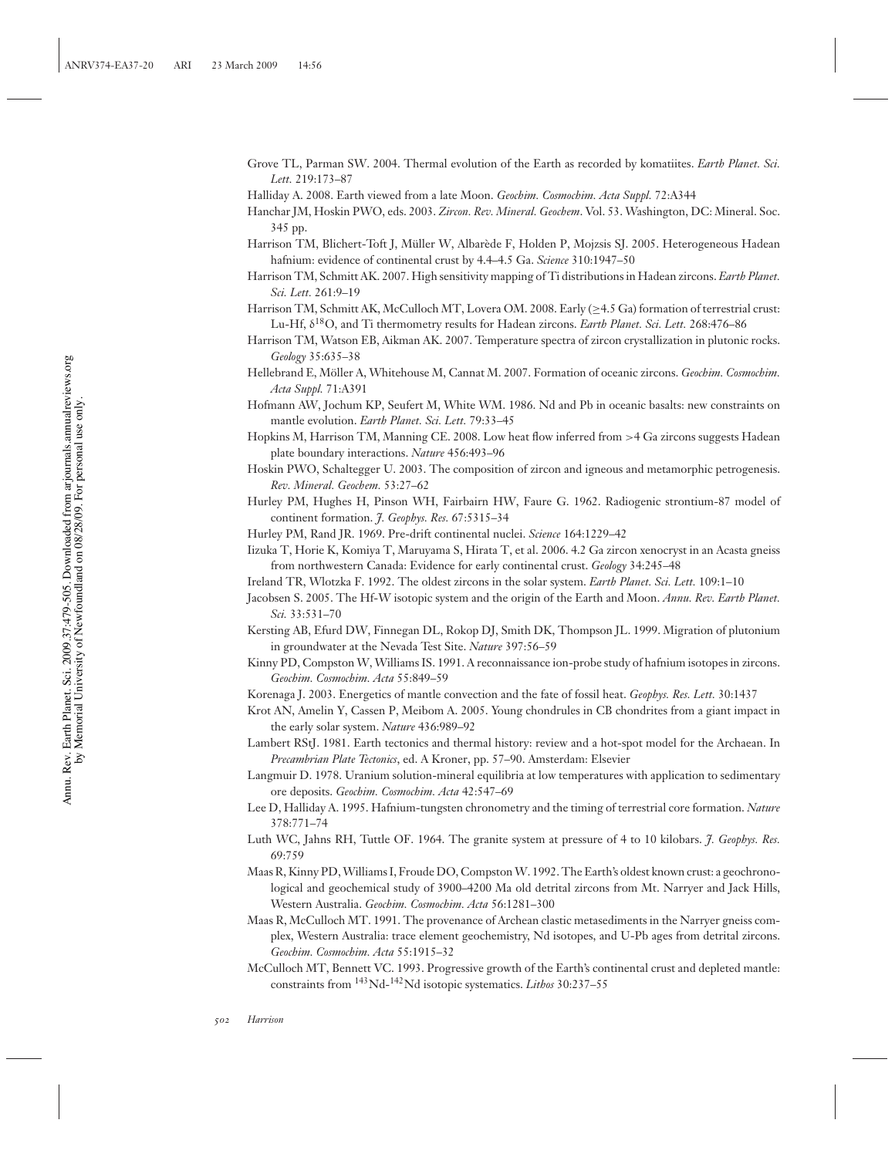- Grove TL, Parman SW. 2004. Thermal evolution of the Earth as recorded by komatiites. *Earth Planet. Sci. Lett.* 219:173–87
- Halliday A. 2008. Earth viewed from a late Moon. *Geochim. Cosmochim. Acta Suppl.* 72:A344
- Hanchar JM, Hoskin PWO, eds. 2003. *Zircon. Rev. Mineral. Geochem*. Vol. 53. Washington, DC: Mineral. Soc. 345 pp.
- Harrison TM, Blichert-Toft J, Müller W, Albarède F, Holden P, Mojzsis SJ. 2005. Heterogeneous Hadean hafnium: evidence of continental crust by 4.4–4.5 Ga. *Science* 310:1947–50
- Harrison TM, Schmitt AK. 2007. High sensitivity mapping of Ti distributions in Hadean zircons. *Earth Planet. Sci. Lett.* 261:9–19
- Harrison TM, Schmitt AK, McCulloch MT, Lovera OM. 2008. Early (≥4.5 Ga) formation of terrestrial crust: Lu-Hf, δ18O, and Ti thermometry results for Hadean zircons. *Earth Planet. Sci. Lett.* 268:476–86
- Harrison TM, Watson EB, Aikman AK. 2007. Temperature spectra of zircon crystallization in plutonic rocks. *Geology* 35:635–38
- Hellebrand E, Möller A, Whitehouse M, Cannat M. 2007. Formation of oceanic zircons. Geochim. Cosmochim. *Acta Suppl.* 71:A391
- Hofmann AW, Jochum KP, Seufert M, White WM. 1986. Nd and Pb in oceanic basalts: new constraints on mantle evolution. *Earth Planet. Sci. Lett.* 79:33–45
- Hopkins M, Harrison TM, Manning CE. 2008. Low heat flow inferred from >4 Ga zircons suggests Hadean plate boundary interactions. *Nature* 456:493–96
- Hoskin PWO, Schaltegger U. 2003. The composition of zircon and igneous and metamorphic petrogenesis. *Rev. Mineral. Geochem.* 53:27–62
- Hurley PM, Hughes H, Pinson WH, Fairbairn HW, Faure G. 1962. Radiogenic strontium-87 model of continent formation. *J. Geophys. Res.* 67:5315–34
- Hurley PM, Rand JR. 1969. Pre-drift continental nuclei. *Science* 164:1229–42
- Iizuka T, Horie K, Komiya T, Maruyama S, Hirata T, et al. 2006. 4.2 Ga zircon xenocryst in an Acasta gneiss from northwestern Canada: Evidence for early continental crust. *Geology* 34:245–48
- Ireland TR, Wlotzka F. 1992. The oldest zircons in the solar system. *Earth Planet. Sci. Lett.* 109:1–10
- Jacobsen S. 2005. The Hf-W isotopic system and the origin of the Earth and Moon. *Annu. Rev. Earth Planet. Sci.* 33:531–70
- Kersting AB, Efurd DW, Finnegan DL, Rokop DJ, Smith DK, Thompson JL. 1999. Migration of plutonium in groundwater at the Nevada Test Site. *Nature* 397:56–59
- Kinny PD, Compston W, Williams IS. 1991. A reconnaissance ion-probe study of hafnium isotopes in zircons. *Geochim. Cosmochim. Acta* 55:849–59
- Korenaga J. 2003. Energetics of mantle convection and the fate of fossil heat. *Geophys. Res. Lett.* 30:1437
- Krot AN, Amelin Y, Cassen P, Meibom A. 2005. Young chondrules in CB chondrites from a giant impact in the early solar system. *Nature* 436:989–92
- Lambert RStJ. 1981. Earth tectonics and thermal history: review and a hot-spot model for the Archaean. In *Precambrian Plate Tectonics*, ed. A Kroner, pp. 57–90. Amsterdam: Elsevier
- Langmuir D. 1978. Uranium solution-mineral equilibria at low temperatures with application to sedimentary ore deposits. *Geochim. Cosmochim. Acta* 42:547–69
- Lee D, Halliday A. 1995. Hafnium-tungsten chronometry and the timing of terrestrial core formation. *Nature* 378:771–74
- Luth WC, Jahns RH, Tuttle OF. 1964. The granite system at pressure of 4 to 10 kilobars. *J. Geophys. Res.* 69:759
- Maas R, Kinny PD,Williams I, Froude DO, CompstonW. 1992. The Earth's oldest known crust: a geochronological and geochemical study of 3900–4200 Ma old detrital zircons from Mt. Narryer and Jack Hills, Western Australia. *Geochim. Cosmochim. Acta* 56:1281–300
- Maas R, McCulloch MT. 1991. The provenance of Archean clastic metasediments in the Narryer gneiss complex, Western Australia: trace element geochemistry, Nd isotopes, and U-Pb ages from detrital zircons. *Geochim. Cosmochim. Acta* 55:1915–32
- McCulloch MT, Bennett VC. 1993. Progressive growth of the Earth's continental crust and depleted mantle: constraints from 143Nd-142Nd isotopic systematics. *Lithos* 30:237–55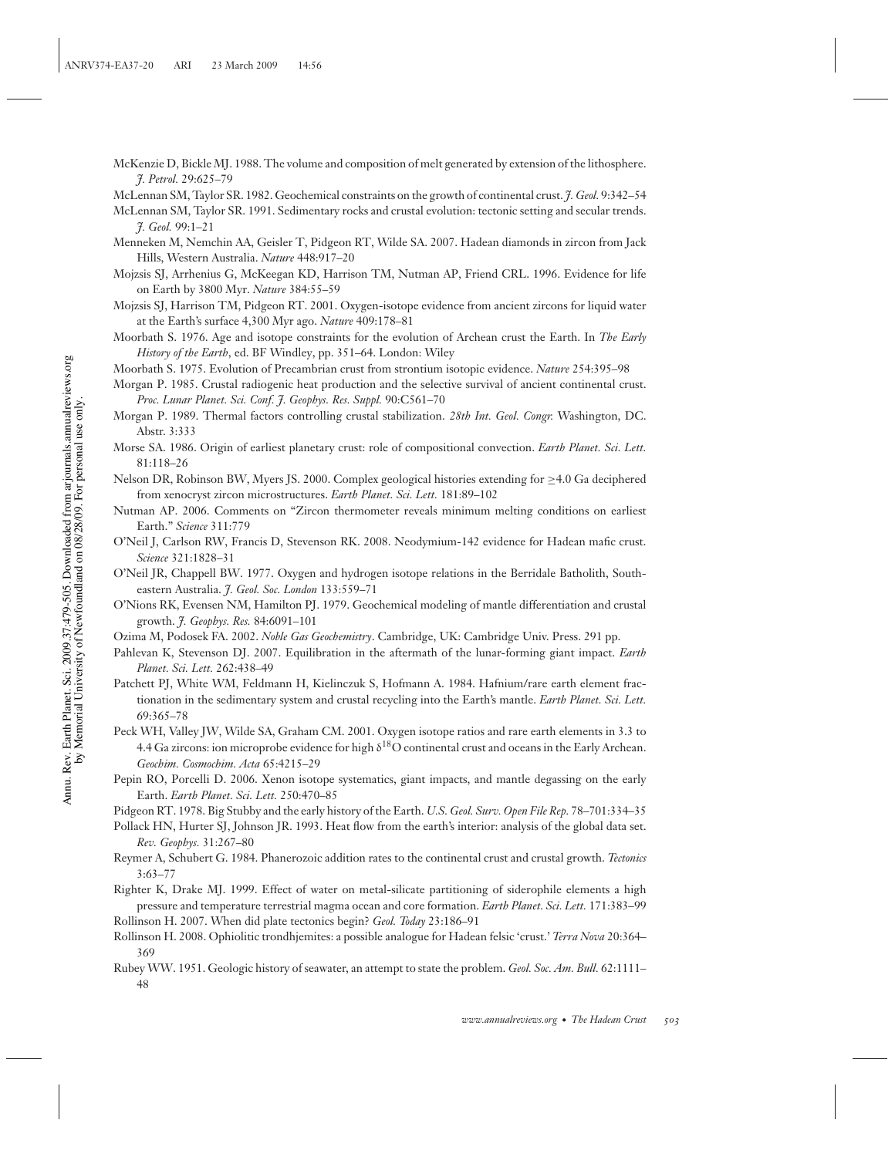- McKenzie D, Bickle MJ. 1988. The volume and composition of melt generated by extension of the lithosphere. *J. Petrol.* 29:625–79
- McLennan SM, Taylor SR. 1982. Geochemical constraints on the growth of continental crust. *J. Geol.* 9:342–54
- McLennan SM, Taylor SR. 1991. Sedimentary rocks and crustal evolution: tectonic setting and secular trends. *J. Geol.* 99:1–21
- Menneken M, Nemchin AA, Geisler T, Pidgeon RT, Wilde SA. 2007. Hadean diamonds in zircon from Jack Hills, Western Australia. *Nature* 448:917–20
- Mojzsis SJ, Arrhenius G, McKeegan KD, Harrison TM, Nutman AP, Friend CRL. 1996. Evidence for life on Earth by 3800 Myr. *Nature* 384:55–59
- Mojzsis SJ, Harrison TM, Pidgeon RT. 2001. Oxygen-isotope evidence from ancient zircons for liquid water at the Earth's surface 4,300 Myr ago. *Nature* 409:178–81
- Moorbath S. 1976. Age and isotope constraints for the evolution of Archean crust the Earth. In *The Early History of the Earth*, ed. BF Windley, pp. 351–64. London: Wiley
- Moorbath S. 1975. Evolution of Precambrian crust from strontium isotopic evidence. *Nature* 254:395–98
- Morgan P. 1985. Crustal radiogenic heat production and the selective survival of ancient continental crust. *Proc. Lunar Planet. Sci. Conf. J. Geophys. Res. Suppl.* 90:C561–70
- Morgan P. 1989. Thermal factors controlling crustal stabilization. *28th Int. Geol. Congr.* Washington, DC. Abstr. 3:333
- Morse SA. 1986. Origin of earliest planetary crust: role of compositional convection. *Earth Planet. Sci. Lett.* 81:118–26
- Nelson DR, Robinson BW, Myers JS. 2000. Complex geological histories extending for ≥4.0 Ga deciphered from xenocryst zircon microstructures. *Earth Planet. Sci. Lett.* 181:89–102
- Nutman AP. 2006. Comments on "Zircon thermometer reveals minimum melting conditions on earliest Earth." *Science* 311:779
- O'Neil J, Carlson RW, Francis D, Stevenson RK. 2008. Neodymium-142 evidence for Hadean mafic crust. *Science* 321:1828–31
- O'Neil JR, Chappell BW. 1977. Oxygen and hydrogen isotope relations in the Berridale Batholith, Southeastern Australia. *J. Geol. Soc. London* 133:559–71
- O'Nions RK, Evensen NM, Hamilton PJ. 1979. Geochemical modeling of mantle differentiation and crustal growth. *J. Geophys. Res.* 84:6091–101
- Ozima M, Podosek FA. 2002. *Noble Gas Geochemistry*. Cambridge, UK: Cambridge Univ. Press. 291 pp.
- Pahlevan K, Stevenson DJ. 2007. Equilibration in the aftermath of the lunar-forming giant impact. *Earth Planet. Sci. Lett.* 262:438–49
- Patchett PJ, White WM, Feldmann H, Kielinczuk S, Hofmann A. 1984. Hafnium/rare earth element fractionation in the sedimentary system and crustal recycling into the Earth's mantle. *Earth Planet. Sci. Lett.* 69:365–78
- Peck WH, Valley JW, Wilde SA, Graham CM. 2001. Oxygen isotope ratios and rare earth elements in 3.3 to 4.4 Ga zircons: ion microprobe evidence for high δ18O continental crust and oceans in the Early Archean. *Geochim. Cosmochim. Acta* 65:4215–29
- Pepin RO, Porcelli D. 2006. Xenon isotope systematics, giant impacts, and mantle degassing on the early Earth. *Earth Planet. Sci. Lett.* 250:470–85
- Pidgeon RT. 1978. Big Stubby and the early history of the Earth. *U.S. Geol. Surv. Open File Rep.* 78–701:334–35
- Pollack HN, Hurter SJ, Johnson JR. 1993. Heat flow from the earth's interior: analysis of the global data set. *Rev. Geophys.* 31:267–80
- Reymer A, Schubert G. 1984. Phanerozoic addition rates to the continental crust and crustal growth. *Tectonics* 3:63–77
- Righter K, Drake MJ. 1999. Effect of water on metal-silicate partitioning of siderophile elements a high pressure and temperature terrestrial magma ocean and core formation. *Earth Planet. Sci. Lett.* 171:383–99
- Rollinson H. 2007. When did plate tectonics begin? *Geol. Today* 23:186–91
- Rollinson H. 2008. Ophiolitic trondhjemites: a possible analogue for Hadean felsic 'crust.' *Terra Nova* 20:364– 369
- Rubey WW. 1951. Geologic history of seawater, an attempt to state the problem. *Geol. Soc. Am. Bull.* 62:1111– 48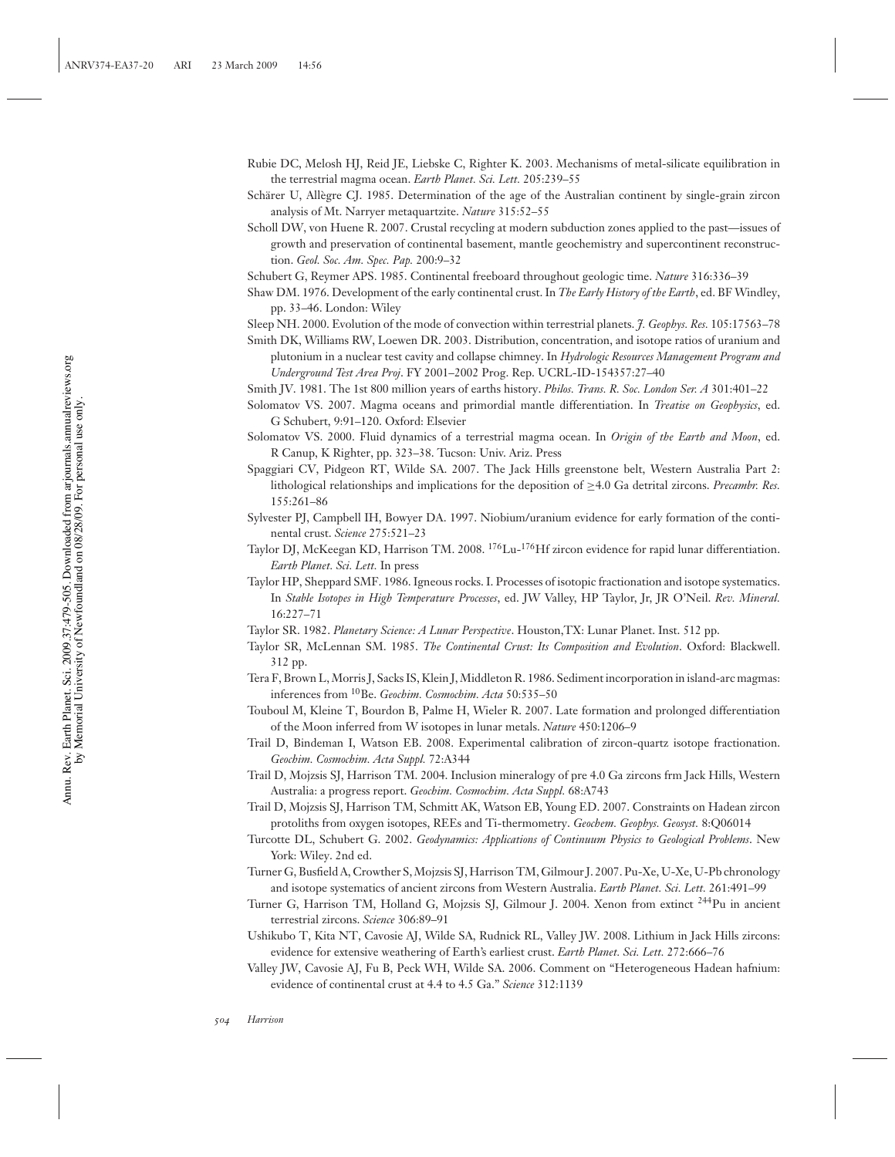- Rubie DC, Melosh HJ, Reid JE, Liebske C, Righter K. 2003. Mechanisms of metal-silicate equilibration in the terrestrial magma ocean. *Earth Planet. Sci. Lett.* 205:239–55
- Schärer U, Allègre CJ. 1985. Determination of the age of the Australian continent by single-grain zircon analysis of Mt. Narryer metaquartzite. *Nature* 315:52–55
- Scholl DW, von Huene R. 2007. Crustal recycling at modern subduction zones applied to the past—issues of growth and preservation of continental basement, mantle geochemistry and supercontinent reconstruction. *Geol. Soc. Am. Spec. Pap.* 200:9–32
- Schubert G, Reymer APS. 1985. Continental freeboard throughout geologic time. *Nature* 316:336–39
- Shaw DM. 1976. Development of the early continental crust. In *The Early History of the Earth*, ed. BF Windley, pp. 33–46. London: Wiley
- Sleep NH. 2000. Evolution of the mode of convection within terrestrial planets. *J. Geophys. Res.* 105:17563–78
- Smith DK, Williams RW, Loewen DR. 2003. Distribution, concentration, and isotope ratios of uranium and plutonium in a nuclear test cavity and collapse chimney. In *Hydrologic Resources Management Program and Underground Test Area Proj*. FY 2001–2002 Prog. Rep. UCRL-ID-154357:27–40
- Smith JV. 1981. The 1st 800 million years of earths history. *Philos. Trans. R. Soc. London Ser. A* 301:401–22
- Solomatov VS. 2007. Magma oceans and primordial mantle differentiation. In *Treatise on Geophysics*, ed. G Schubert, 9:91–120. Oxford: Elsevier
- Solomatov VS. 2000. Fluid dynamics of a terrestrial magma ocean. In *Origin of the Earth and Moon*, ed. R Canup, K Righter, pp. 323–38. Tucson: Univ. Ariz. Press
- Spaggiari CV, Pidgeon RT, Wilde SA. 2007. The Jack Hills greenstone belt, Western Australia Part 2: lithological relationships and implications for the deposition of ≥4.0 Ga detrital zircons. *Precambr. Res.* 155:261–86
- Sylvester PJ, Campbell IH, Bowyer DA. 1997. Niobium/uranium evidence for early formation of the continental crust. *Science* 275:521–23
- Taylor DJ, McKeegan KD, Harrison TM. 2008. <sup>176</sup>Lu-<sup>176</sup>Hf zircon evidence for rapid lunar differentiation. *Earth Planet. Sci. Lett.* In press
- Taylor HP, Sheppard SMF. 1986. Igneous rocks. I. Processes of isotopic fractionation and isotope systematics. In *Stable Isotopes in High Temperature Processes*, ed. JW Valley, HP Taylor, Jr, JR O'Neil. *Rev. Mineral.* 16:227–71
- Taylor SR. 1982. *Planetary Science: A Lunar Perspective*. Houston,TX: Lunar Planet. Inst. 512 pp.
- Taylor SR, McLennan SM. 1985. *The Continental Crust: Its Composition and Evolution*. Oxford: Blackwell. 312 pp.
- Tera F, Brown L, Morris J, Sacks IS, Klein J, Middleton R. 1986. Sediment incorporation in island-arc magmas: inferences from 10Be. *Geochim. Cosmochim. Acta* 50:535–50
- Touboul M, Kleine T, Bourdon B, Palme H, Wieler R. 2007. Late formation and prolonged differentiation of the Moon inferred from W isotopes in lunar metals. *Nature* 450:1206–9
- Trail D, Bindeman I, Watson EB. 2008. Experimental calibration of zircon-quartz isotope fractionation. *Geochim. Cosmochim. Acta Suppl.* 72:A344
- Trail D, Mojzsis SJ, Harrison TM. 2004. Inclusion mineralogy of pre 4.0 Ga zircons frm Jack Hills, Western Australia: a progress report. *Geochim. Cosmochim. Acta Suppl.* 68:A743
- Trail D, Mojzsis SJ, Harrison TM, Schmitt AK, Watson EB, Young ED. 2007. Constraints on Hadean zircon protoliths from oxygen isotopes, REEs and Ti-thermometry. *Geochem. Geophys. Geosyst.* 8:Q06014
- Turcotte DL, Schubert G. 2002. *Geodynamics: Applications of Continuum Physics to Geological Problems*. New York: Wiley. 2nd ed.
- Turner G, Busfield A, Crowther S, Mojzsis SJ, Harrison TM, Gilmour J. 2007. Pu-Xe, U-Xe, U-Pb chronology and isotope systematics of ancient zircons from Western Australia. *Earth Planet. Sci. Lett.* 261:491–99
- Turner G, Harrison TM, Holland G, Mojzsis SJ, Gilmour J. 2004. Xenon from extinct 244Pu in ancient terrestrial zircons. *Science* 306:89–91
- Ushikubo T, Kita NT, Cavosie AJ, Wilde SA, Rudnick RL, Valley JW. 2008. Lithium in Jack Hills zircons: evidence for extensive weathering of Earth's earliest crust. *Earth Planet. Sci. Lett.* 272:666–76
- Valley JW, Cavosie AJ, Fu B, Peck WH, Wilde SA. 2006. Comment on "Heterogeneous Hadean hafnium: evidence of continental crust at 4.4 to 4.5 Ga." *Science* 312:1139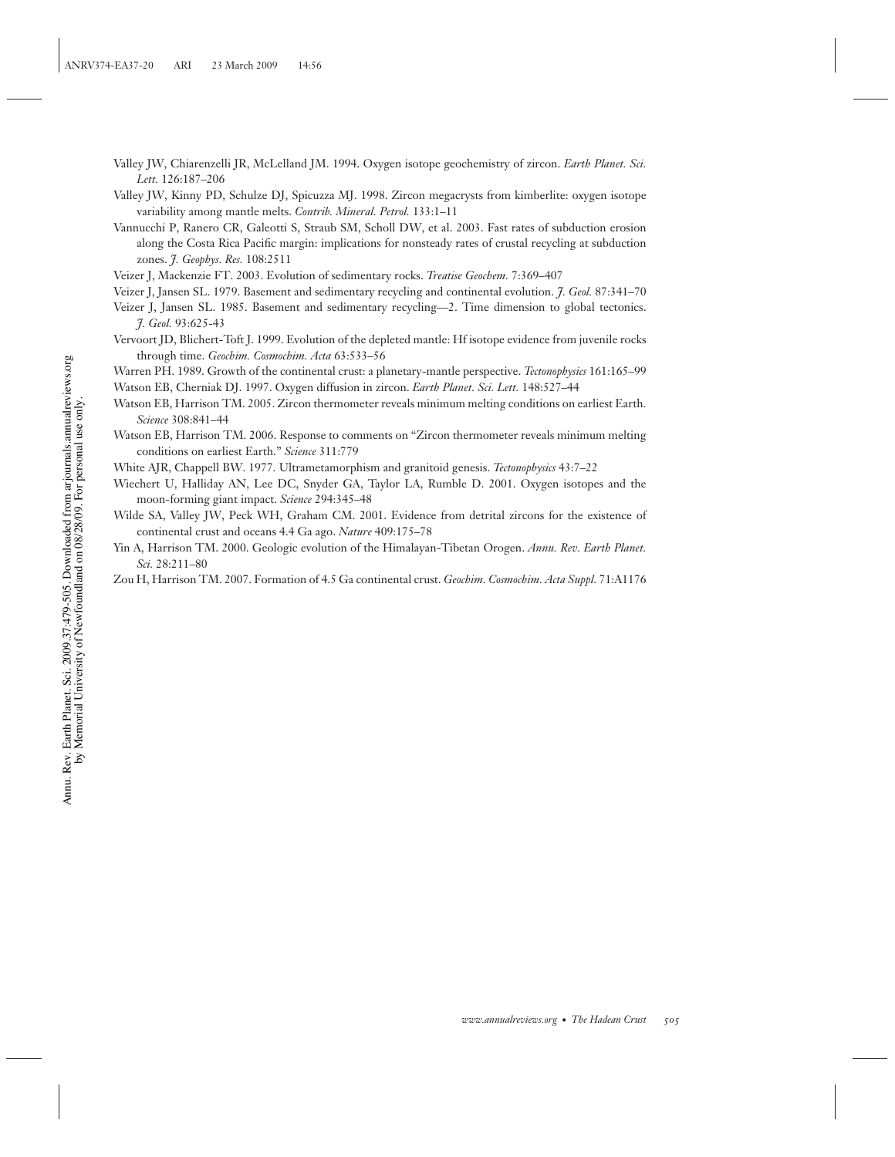- Valley JW, Chiarenzelli JR, McLelland JM. 1994. Oxygen isotope geochemistry of zircon. *Earth Planet. Sci. Lett.* 126:187–206
- Valley JW, Kinny PD, Schulze DJ, Spicuzza MJ. 1998. Zircon megacrysts from kimberlite: oxygen isotope variability among mantle melts. *Contrib. Mineral. Petrol.* 133:1–11
- Vannucchi P, Ranero CR, Galeotti S, Straub SM, Scholl DW, et al. 2003. Fast rates of subduction erosion along the Costa Rica Pacific margin: implications for nonsteady rates of crustal recycling at subduction zones. *J. Geophys. Res.* 108:2511
- Veizer J, Mackenzie FT. 2003. Evolution of sedimentary rocks. *Treatise Geochem.* 7:369–407
- Veizer J, Jansen SL. 1979. Basement and sedimentary recycling and continental evolution. *J. Geol.* 87:341–70
- Veizer J, Jansen SL. 1985. Basement and sedimentary recycling—2. Time dimension to global tectonics. *J. Geol.* 93:625-43
- Vervoort JD, Blichert-Toft J. 1999. Evolution of the depleted mantle: Hf isotope evidence from juvenile rocks through time. *Geochim. Cosmochim. Acta* 63:533–56
- Warren PH. 1989. Growth of the continental crust: a planetary-mantle perspective. *Tectonophysics* 161:165–99
- Watson EB, Cherniak DJ. 1997. Oxygen diffusion in zircon. *Earth Planet. Sci. Lett.* 148:527–44
- Watson EB, Harrison TM. 2005. Zircon thermometer reveals minimum melting conditions on earliest Earth. *Science* 308:841–44
- Watson EB, Harrison TM. 2006. Response to comments on "Zircon thermometer reveals minimum melting conditions on earliest Earth." *Science* 311:779
- White AJR, Chappell BW. 1977. Ultrametamorphism and granitoid genesis. *Tectonophysics* 43:7–22
- Wiechert U, Halliday AN, Lee DC, Snyder GA, Taylor LA, Rumble D. 2001. Oxygen isotopes and the moon-forming giant impact. *Science* 294:345–48
- Wilde SA, Valley JW, Peck WH, Graham CM. 2001. Evidence from detrital zircons for the existence of continental crust and oceans 4.4 Ga ago. *Nature* 409:175–78
- Yin A, Harrison TM. 2000. Geologic evolution of the Himalayan-Tibetan Orogen. *Annu. Rev. Earth Planet. Sci.* 28:211–80
- Zou H, Harrison TM. 2007. Formation of 4.5 Ga continental crust. *Geochim. Cosmochim. Acta Suppl.* 71:A1176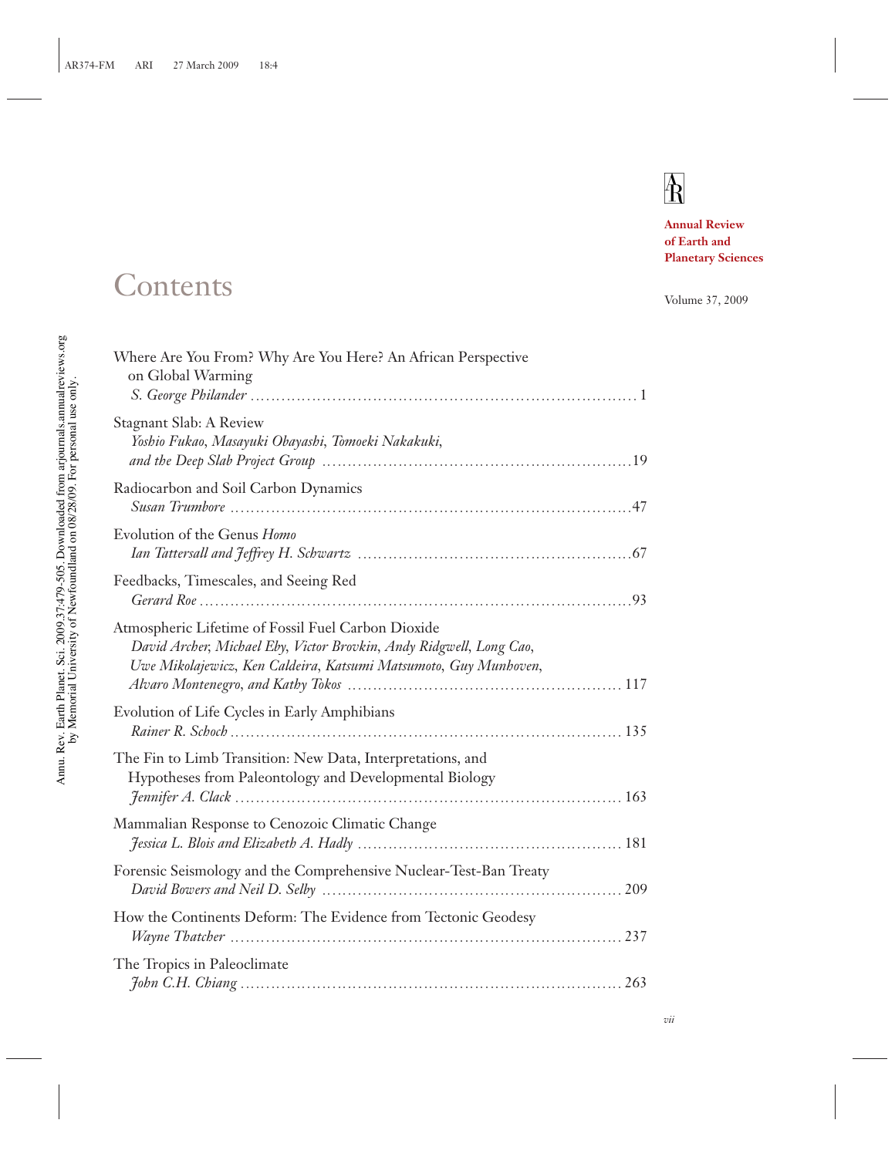# $\overline{R}$

**Annual Review of Earth and Planetary Sciences**

# Contents

| Volume 37, 2009 |  |  |
|-----------------|--|--|
|-----------------|--|--|

| Where Are You From? Why Are You Here? An African Perspective<br>on Global Warming                                                                                                             |  |
|-----------------------------------------------------------------------------------------------------------------------------------------------------------------------------------------------|--|
| Stagnant Slab: A Review<br>Yoshio Fukao, Masayuki Obayashi, Tomoeki Nakakuki,                                                                                                                 |  |
| Radiocarbon and Soil Carbon Dynamics                                                                                                                                                          |  |
| Evolution of the Genus Homo                                                                                                                                                                   |  |
| Feedbacks, Timescales, and Seeing Red                                                                                                                                                         |  |
| Atmospheric Lifetime of Fossil Fuel Carbon Dioxide<br>David Archer, Michael Eby, Victor Brovkin, Andy Ridgwell, Long Cao,<br>Uwe Mikolajewicz, Ken Caldeira, Katsumi Matsumoto, Guy Munhoven, |  |
| Evolution of Life Cycles in Early Amphibians                                                                                                                                                  |  |
| The Fin to Limb Transition: New Data, Interpretations, and<br>Hypotheses from Paleontology and Developmental Biology                                                                          |  |
| Mammalian Response to Cenozoic Climatic Change                                                                                                                                                |  |
| Forensic Seismology and the Comprehensive Nuclear-Test-Ban Treaty                                                                                                                             |  |
| How the Continents Deform: The Evidence from Tectonic Geodesy                                                                                                                                 |  |
| The Tropics in Paleoclimate                                                                                                                                                                   |  |